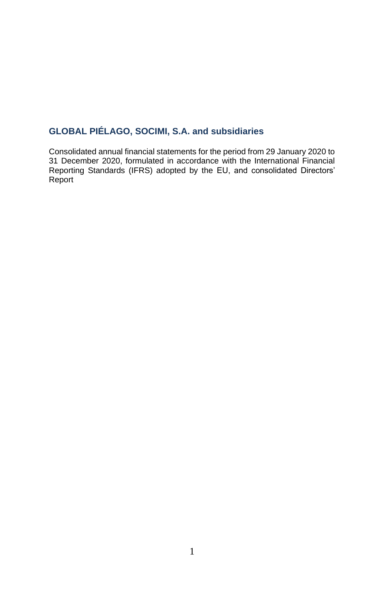Consolidated annual financial statements for the period from 29 January 2020 to 31 December 2020, formulated in accordance with the International Financial Reporting Standards (IFRS) adopted by the EU, and consolidated Directors' Report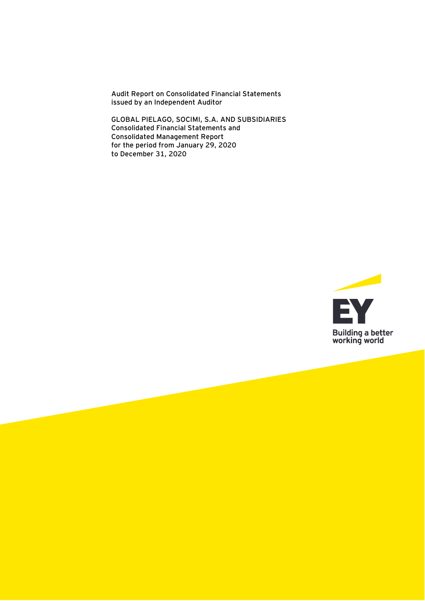**Audit Report on Consolidated Financial Statements issued by an Independent Auditor**

**GLOBAL PIELAGO, SOCIMI, S.A. AND SUBSIDIARIES Consolidated Financial Statements and Consolidated Management Report for the period from January 29, 2020 to December 31, 2020**

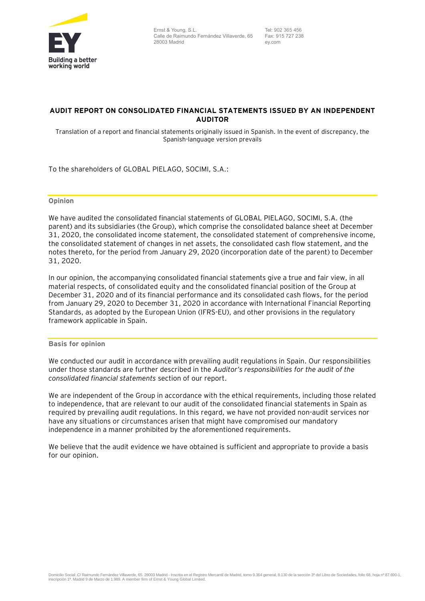

Tel: 902 365 456 Fax: 915 727 238 ey.com

# **AUDIT REPORT ON CONSOLIDATED FINANCIAL STATEMENTS ISSUED BY AN INDEPENDENT AUDITOR**

Translation of a report and financial statements originally issued in Spanish. In the event of discrepancy, the Spanish-language version prevails

To the shareholders of GLOBAL PIELAGO, SOCIMI, S.A.:

# **Opinion**

We have audited the consolidated financial statements of GLOBAL PIELAGO, SOCIMI, S.A. (the parent) and its subsidiaries (the Group), which comprise the consolidated balance sheet at December 31, 2020, the consolidated income statement, the consolidated statement of comprehensive income, the consolidated statement of changes in net assets, the consolidated cash flow statement, and the notes thereto, for the period from January 29, 2020 (incorporation date of the parent) to December 31, 2020.

In our opinion, the accompanying consolidated financial statements give a true and fair view, in all material respects, of consolidated equity and the consolidated financial position of the Group at December 31, 2020 and of its financial performance and its consolidated cash flows, for the period from January 29, 2020 to December 31, 2020 in accordance with International Financial Reporting Standards, as adopted by the European Union (IFRS-EU), and other provisions in the regulatory framework applicable in Spain.

# **Basis for opinion**

We conducted our audit in accordance with prevailing audit regulations in Spain. Our responsibilities under those standards are further described in the *Auditor's responsibilities for the audit of the consolidated financial statements* section of our report.

We are independent of the Group in accordance with the ethical requirements, including those related to independence, that are relevant to our audit of the consolidated financial statements in Spain as required by prevailing audit regulations. In this regard, we have not provided non-audit services nor have any situations or circumstances arisen that might have compromised our mandatory independence in a manner prohibited by the aforementioned requirements.

We believe that the audit evidence we have obtained is sufficient and appropriate to provide a basis for our opinion.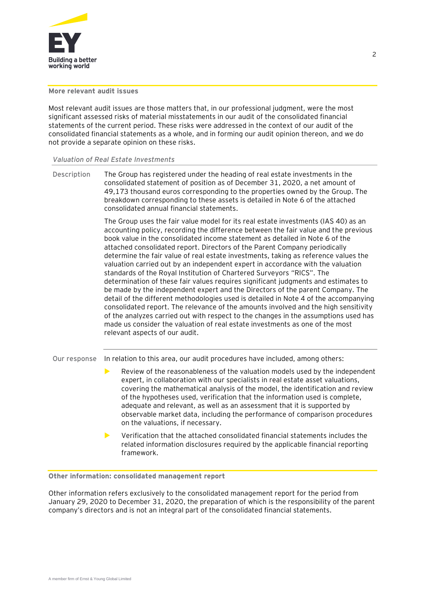

# **More relevant audit issues**

Most relevant audit issues are those matters that, in our professional judgment, were the most significant assessed risks of material misstatements in our audit of the consolidated financial statements of the current period. These risks were addressed in the context of our audit of the consolidated financial statements as a whole, and in forming our audit opinion thereon, and we do not provide a separate opinion on these risks.

# *Valuation of Real Estate Investments*

**Description** The Group has registered under the heading of real estate investments in the consolidated statement of position as of December 31, 2020, a net amount of 49,173 thousand euros corresponding to the properties owned by the Group. The breakdown corresponding to these assets is detailed in Note 6 of the attached consolidated annual financial statements.

> The Group uses the fair value model for its real estate investments (IAS 40) as an accounting policy, recording the difference between the fair value and the previous book value in the consolidated income statement as detailed in Note 6 of the attached consolidated report. Directors of the Parent Company periodically determine the fair value of real estate investments, taking as reference values the valuation carried out by an independent expert in accordance with the valuation standards of the Royal Institution of Chartered Surveyors "RICS". The determination of these fair values requires significant judgments and estimates to be made by the independent expert and the Directors of the parent Company. The detail of the different methodologies used is detailed in Note 4 of the accompanying consolidated report. The relevance of the amounts involved and the high sensitivity of the analyzes carried out with respect to the changes in the assumptions used has made us consider the valuation of real estate investments as one of the most relevant aspects of our audit.

**Our response** In relation to this area, our audit procedures have included, among others:

- Review of the reasonableness of the valuation models used by the independent expert, in collaboration with our specialists in real estate asset valuations, covering the mathematical analysis of the model, the identification and review of the hypotheses used, verification that the information used is complete, adequate and relevant, as well as an assessment that it is supported by observable market data, including the performance of comparison procedures on the valuations, if necessary.
- Verification that the attached consolidated financial statements includes the related information disclosures required by the applicable financial reporting framework.

# **Other information: consolidated management report**

Other information refers exclusively to the consolidated management report for the period from January 29, 2020 to December 31, 2020, the preparation of which is the responsibility of the parent company's directors and is not an integral part of the consolidated financial statements.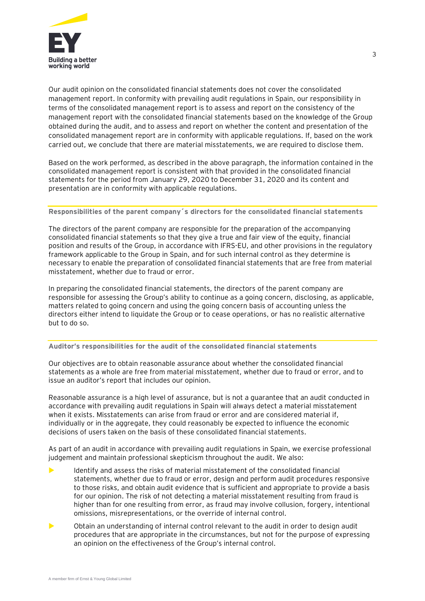

Our audit opinion on the consolidated financial statements does not cover the consolidated management report. In conformity with prevailing audit regulations in Spain, our responsibility in terms of the consolidated management report is to assess and report on the consistency of the management report with the consolidated financial statements based on the knowledge of the Group obtained during the audit, and to assess and report on whether the content and presentation of the consolidated management report are in conformity with applicable regulations. If, based on the work carried out, we conclude that there are material misstatements, we are required to disclose them.

Based on the work performed, as described in the above paragraph, the information contained in the consolidated management report is consistent with that provided in the consolidated financial statements for the period from January 29, 2020 to December 31, 2020 and its content and presentation are in conformity with applicable regulations.

**Responsibilities of the parent company´s directors for the consolidated financial statements**

The directors of the parent company are responsible for the preparation of the accompanying consolidated financial statements so that they give a true and fair view of the equity, financial position and results of the Group, in accordance with IFRS-EU, and other provisions in the regulatory framework applicable to the Group in Spain, and for such internal control as they determine is necessary to enable the preparation of consolidated financial statements that are free from material misstatement, whether due to fraud or error.

In preparing the consolidated financial statements, the directors of the parent company are responsible for assessing the Group's ability to continue as a going concern, disclosing, as applicable, matters related to going concern and using the going concern basis of accounting unless the directors either intend to liquidate the Group or to cease operations, or has no realistic alternative but to do so.

**Auditor's responsibilities for the audit of the consolidated financial statements**

Our objectives are to obtain reasonable assurance about whether the consolidated financial statements as a whole are free from material misstatement, whether due to fraud or error, and to issue an auditor's report that includes our opinion.

Reasonable assurance is a high level of assurance, but is not a guarantee that an audit conducted in accordance with prevailing audit regulations in Spain will always detect a material misstatement when it exists. Misstatements can arise from fraud or error and are considered material if, individually or in the aggregate, they could reasonably be expected to influence the economic decisions of users taken on the basis of these consolidated financial statements.

As part of an audit in accordance with prevailing audit regulations in Spain, we exercise professional judgement and maintain professional skepticism throughout the audit. We also:

- Identify and assess the risks of material misstatement of the consolidated financial statements, whether due to fraud or error, design and perform audit procedures responsive to those risks, and obtain audit evidence that is sufficient and appropriate to provide a basis for our opinion. The risk of not detecting a material misstatement resulting from fraud is higher than for one resulting from error, as fraud may involve collusion, forgery, intentional omissions, misrepresentations, or the override of internal control.
- Obtain an understanding of internal control relevant to the audit in order to design audit procedures that are appropriate in the circumstances, but not for the purpose of expressing an opinion on the effectiveness of the Group's internal control.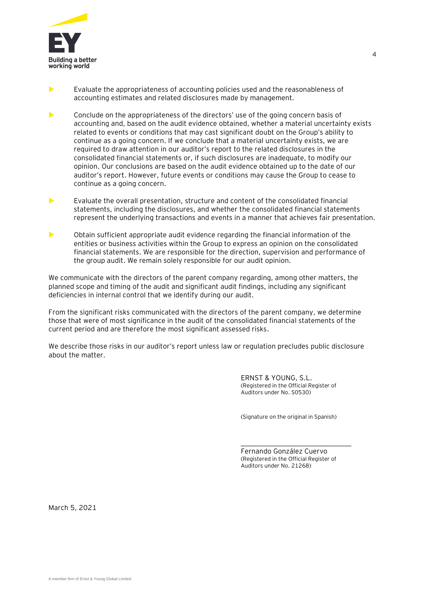

- Evaluate the appropriateness of accounting policies used and the reasonableness of accounting estimates and related disclosures made by management.
- Conclude on the appropriateness of the directors' use of the going concern basis of accounting and, based on the audit evidence obtained, whether a material uncertainty exists related to events or conditions that may cast significant doubt on the Group's ability to continue as a going concern. If we conclude that a material uncertainty exists, we are required to draw attention in our auditor's report to the related disclosures in the consolidated financial statements or, if such disclosures are inadequate, to modify our opinion. Our conclusions are based on the audit evidence obtained up to the date of our auditor's report. However, future events or conditions may cause the Group to cease to continue as a going concern.
- Evaluate the overall presentation, structure and content of the consolidated financial statements, including the disclosures, and whether the consolidated financial statements represent the underlying transactions and events in a manner that achieves fair presentation.
- Obtain sufficient appropriate audit evidence regarding the financial information of the entities or business activities within the Group to express an opinion on the consolidated financial statements. We are responsible for the direction, supervision and performance of the group audit. We remain solely responsible for our audit opinion.

We communicate with the directors of the parent company regarding, among other matters, the planned scope and timing of the audit and significant audit findings, including any significant deficiencies in internal control that we identify during our audit.

From the significant risks communicated with the directors of the parent company, we determine those that were of most significance in the audit of the consolidated financial statements of the current period and are therefore the most significant assessed risks.

We describe those risks in our auditor's report unless law or regulation precludes public disclosure about the matter.

> ERNST & YOUNG, S.L. (Registered in the Official Register of Auditors under No. S0530)

(Signature on the original in Spanish)

Fernando González Cuervo (Registered in the Official Register of Auditors under No. 21268)

\_\_\_\_\_\_\_\_\_\_\_\_\_\_\_\_\_\_\_\_\_\_\_\_\_\_\_\_\_\_\_

March 5, 2021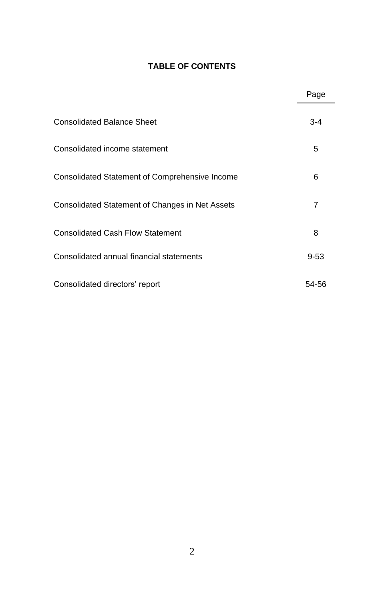# **TABLE OF CONTENTS**

|                                                 | Page     |
|-------------------------------------------------|----------|
| <b>Consolidated Balance Sheet</b>               | $3 - 4$  |
| Consolidated income statement                   | 5        |
| Consolidated Statement of Comprehensive Income  | 6        |
| Consolidated Statement of Changes in Net Assets | 7        |
| <b>Consolidated Cash Flow Statement</b>         | 8        |
| Consolidated annual financial statements        | $9 - 53$ |
| Consolidated directors' report                  | 54-56    |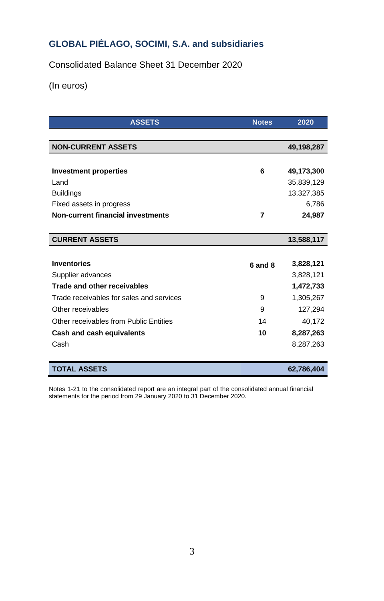Consolidated Balance Sheet 31 December 2020

(In euros)

| <b>ASSETS</b>                            | <b>Notes</b> | 2020       |
|------------------------------------------|--------------|------------|
|                                          |              |            |
| <b>NON-CURRENT ASSETS</b>                |              | 49,198,287 |
|                                          |              |            |
| <b>Investment properties</b>             | 6            | 49,173,300 |
| Land                                     |              | 35,839,129 |
| <b>Buildings</b>                         |              | 13,327,385 |
| Fixed assets in progress                 |              | 6,786      |
| Non-current financial investments        | 7            | 24,987     |
|                                          |              |            |
| <b>CURRENT ASSETS</b>                    |              | 13,588,117 |
|                                          |              |            |
| <b>Inventories</b>                       | 6 and 8      | 3,828,121  |
| Supplier advances                        |              | 3,828,121  |
| Trade and other receivables              |              | 1,472,733  |
| Trade receivables for sales and services | 9            | 1,305,267  |
| Other receivables                        | 9            | 127,294    |
| Other receivables from Public Entities   | 14           | 40,172     |
| Cash and cash equivalents                | 10           | 8,287,263  |
| Cash                                     |              | 8,287,263  |
|                                          |              |            |
| <b>TOTAL ASSETS</b>                      |              | 62,786,404 |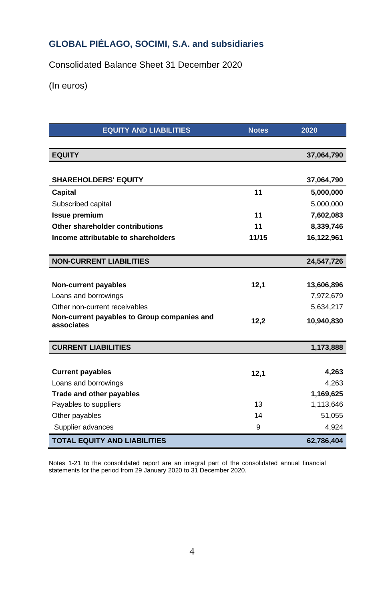Consolidated Balance Sheet 31 December 2020

(In euros)

| <b>EQUITY AND LIABILITIES</b>                             | <b>Notes</b> | 2020       |
|-----------------------------------------------------------|--------------|------------|
|                                                           |              |            |
| <b>EQUITY</b>                                             |              | 37,064,790 |
|                                                           |              |            |
| <b>SHAREHOLDERS' EQUITY</b>                               |              | 37,064,790 |
| Capital                                                   | 11           | 5,000,000  |
| Subscribed capital                                        |              | 5,000,000  |
| <b>Issue premium</b>                                      | 11           | 7,602,083  |
| Other shareholder contributions                           | 11           | 8,339,746  |
| Income attributable to shareholders                       | 11/15        | 16,122,961 |
|                                                           |              |            |
| <b>NON-CURRENT LIABILITIES</b>                            |              | 24,547,726 |
|                                                           |              |            |
| <b>Non-current payables</b>                               | 12,1         | 13,606,896 |
| Loans and borrowings                                      |              | 7,972,679  |
| Other non-current receivables                             |              | 5,634,217  |
| Non-current payables to Group companies and<br>associates | 12,2         | 10,940,830 |
|                                                           |              |            |
| <b>CURRENT LIABILITIES</b>                                |              | 1,173,888  |
|                                                           |              |            |
| <b>Current payables</b>                                   | 12,1         | 4,263      |
| Loans and borrowings                                      |              | 4,263      |
| Trade and other payables                                  |              | 1,169,625  |
| Payables to suppliers                                     | 13           | 1,113,646  |
| Other payables                                            | 14           | 51,055     |
| Supplier advances                                         | 9            | 4,924      |
| <b>TOTAL EQUITY AND LIABILITIES</b>                       |              | 62,786,404 |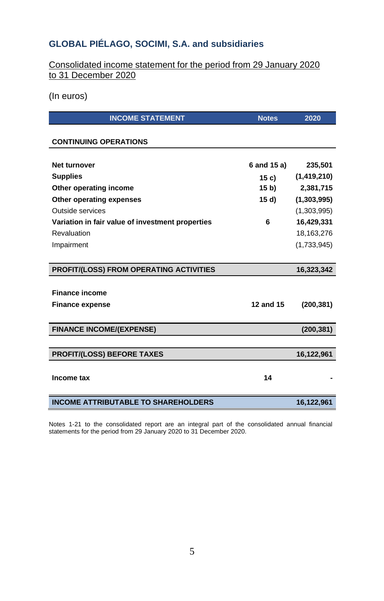# Consolidated income statement for the period from 29 January 2020 to 31 December 2020

(In euros)

| <b>INCOME STATEMENT</b>                          | <b>Notes</b> | 2020        |
|--------------------------------------------------|--------------|-------------|
|                                                  |              |             |
| <b>CONTINUING OPERATIONS</b>                     |              |             |
|                                                  |              |             |
| Net turnover                                     | 6 and 15 a)  | 235,501     |
| <b>Supplies</b>                                  | 15c)         | (1,419,210) |
| Other operating income                           | 15 b)        | 2,381,715   |
| Other operating expenses                         | 15d          | (1,303,995) |
| Outside services                                 |              | (1,303,995) |
| Variation in fair value of investment properties | 6            | 16,429,331  |
| Revaluation                                      |              | 18,163,276  |
| Impairment                                       |              | (1,733,945) |
|                                                  |              |             |
| <b>PROFIT/(LOSS) FROM OPERATING ACTIVITIES</b>   |              | 16,323,342  |
|                                                  |              |             |
| <b>Finance income</b>                            |              |             |
| <b>Finance expense</b>                           | 12 and 15    | (200, 381)  |
|                                                  |              |             |
| <b>FINANCE INCOME/(EXPENSE)</b>                  |              | (200, 381)  |
|                                                  |              |             |
| <b>PROFIT/(LOSS) BEFORE TAXES</b>                |              | 16,122,961  |
|                                                  |              |             |
| Income tax                                       | 14           |             |
|                                                  |              |             |
| <b>INCOME ATTRIBUTABLE TO SHAREHOLDERS</b>       |              | 16,122,961  |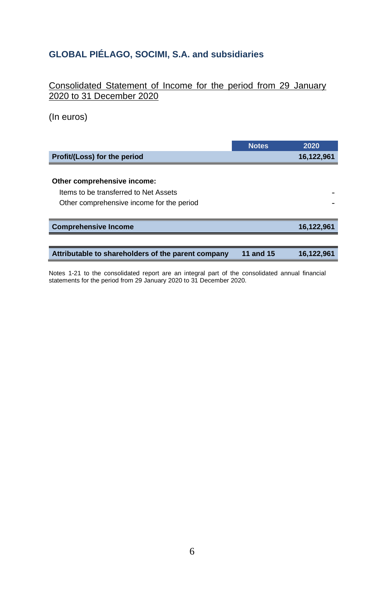Consolidated Statement of Income for the period from 29 January 2020 to 31 December 2020

(In euros)

|                                                    | <b>Notes</b>     | 2020       |
|----------------------------------------------------|------------------|------------|
| Profit/(Loss) for the period                       |                  | 16,122,961 |
|                                                    |                  |            |
| Other comprehensive income:                        |                  |            |
| Items to be transferred to Net Assets              |                  |            |
| Other comprehensive income for the period          |                  |            |
|                                                    |                  |            |
| <b>Comprehensive Income</b>                        |                  | 16,122,961 |
|                                                    |                  |            |
| Attributable to shareholders of the parent company | <b>11 and 15</b> | 16,122,961 |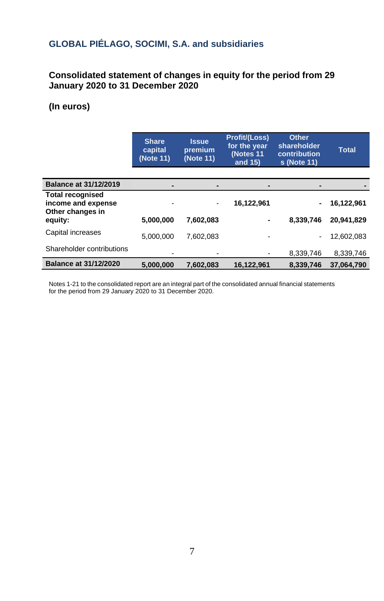# **Consolidated statement of changes in equity for the period from 29 January 2020 to 31 December 2020**

# **(In euros)**

|                                                                   | <b>Share</b><br>capital<br>(Note 11) | <b>Issue</b><br>premium<br>(Note 11) | <b>Profit/(Loss)</b><br>for the year<br>(Notes 11<br>and $15$ ) | <b>Other</b><br>shareholder<br>contribution<br>s (Note 11) | <b>Total</b> |
|-------------------------------------------------------------------|--------------------------------------|--------------------------------------|-----------------------------------------------------------------|------------------------------------------------------------|--------------|
| <b>Balance at 31/12/2019</b>                                      |                                      |                                      |                                                                 |                                                            |              |
| <b>Total recognised</b><br>income and expense<br>Other changes in |                                      | -                                    | 16,122,961                                                      | ٠                                                          | 16,122,961   |
| equity:                                                           | 5,000,000                            | 7.602.083                            |                                                                 | 8.339.746                                                  | 20.941.829   |
| Capital increases                                                 | 5,000,000                            | 7.602.083                            |                                                                 |                                                            | 12,602,083   |
| Shareholder contributions                                         |                                      |                                      |                                                                 | 8,339,746                                                  | 8,339,746    |
| <b>Balance at 31/12/2020</b>                                      | 5,000,000                            | 7,602,083                            | 16,122,961                                                      | 8,339,746                                                  | 37.064.790   |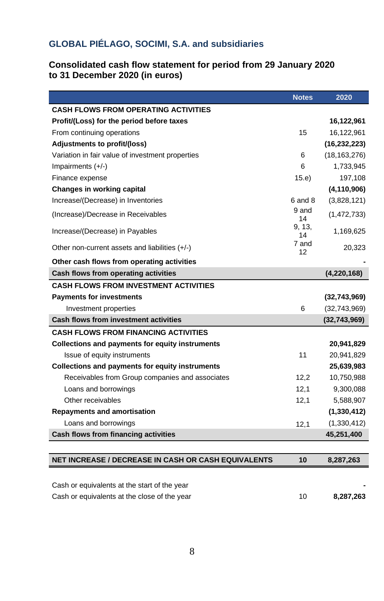# **Consolidated cash flow statement for period from 29 January 2020 to 31 December 2020 (in euros)**

|                                                            | <b>Notes</b> | 2020           |
|------------------------------------------------------------|--------------|----------------|
| <b>CASH FLOWS FROM OPERATING ACTIVITIES</b>                |              |                |
| Profit/(Loss) for the period before taxes                  |              | 16,122,961     |
| From continuing operations                                 | 15           | 16,122,961     |
| Adjustments to profit/(loss)                               |              | (16, 232, 223) |
| Variation in fair value of investment properties           | 6            | (18, 163, 276) |
| Impairments (+/-)                                          | 6            | 1,733,945      |
| Finance expense                                            | 15.e)        | 197,108        |
| Changes in working capital                                 |              | (4, 110, 906)  |
| Increase/(Decrease) in Inventories                         | 6 and 8      | (3,828,121)    |
| (Increase)/Decrease in Receivables                         | 9 and<br>14  | (1,472,733)    |
| Increase/(Decrease) in Payables                            | 9, 13,<br>14 | 1,169,625      |
| Other non-current assets and liabilities $(+/-)$           | 7 and<br>12  | 20,323         |
| Other cash flows from operating activities                 |              |                |
| Cash flows from operating activities                       |              | (4, 220, 168)  |
| <b>CASH FLOWS FROM INVESTMENT ACTIVITIES</b>               |              |                |
| <b>Payments for investments</b>                            |              | (32,743,969)   |
| Investment properties                                      | 6            | (32,743,969)   |
| <b>Cash flows from investment activities</b>               |              | (32,743,969)   |
| <b>CASH FLOWS FROM FINANCING ACTIVITIES</b>                |              |                |
| <b>Collections and payments for equity instruments</b>     |              | 20,941,829     |
| Issue of equity instruments                                | 11           | 20,941,829     |
| Collections and payments for equity instruments            |              | 25,639,983     |
| Receivables from Group companies and associates            | 12,2         | 10,750,988     |
| Loans and borrowings                                       | 12.1         | 9,300,088      |
| Other receivables                                          | 12,1         | 5,588,907      |
| <b>Repayments and amortisation</b>                         |              | (1, 330, 412)  |
| Loans and borrowings                                       | 12,1         | (1,330,412)    |
| Cash flows from financing activities                       |              | 45,251,400     |
|                                                            |              |                |
| <b>NET INCREASE / DECREASE IN CASH OR CASH EQUIVALENTS</b> | 10           | 8,287,263      |
|                                                            |              |                |
| Cash or equivalents at the start of the year               |              |                |
| Cash or equivalents at the close of the year               | 10           | 8,287,263      |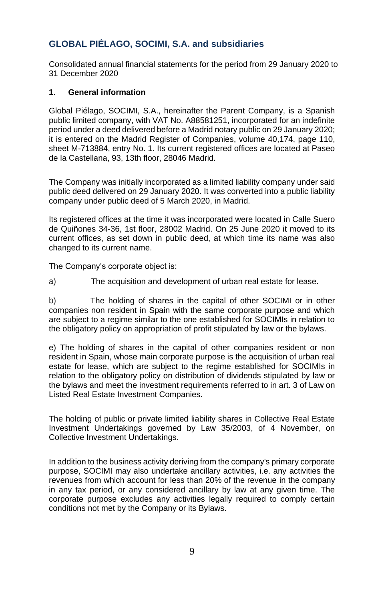Consolidated annual financial statements for the period from 29 January 2020 to 31 December 2020

# **1. General information**

Global Piélago, SOCIMI, S.A., hereinafter the Parent Company, is a Spanish public limited company, with VAT No. A88581251, incorporated for an indefinite period under a deed delivered before a Madrid notary public on 29 January 2020; it is entered on the Madrid Register of Companies, volume 40,174, page 110, sheet M-713884, entry No. 1. Its current registered offices are located at Paseo de la Castellana, 93, 13th floor, 28046 Madrid.

The Company was initially incorporated as a limited liability company under said public deed delivered on 29 January 2020. It was converted into a public liability company under public deed of 5 March 2020, in Madrid.

Its registered offices at the time it was incorporated were located in Calle Suero de Quiñones 34-36, 1st floor, 28002 Madrid. On 25 June 2020 it moved to its current offices, as set down in public deed, at which time its name was also changed to its current name.

The Company's corporate object is:

a) The acquisition and development of urban real estate for lease.

b) The holding of shares in the capital of other SOCIMI or in other companies non resident in Spain with the same corporate purpose and which are subject to a regime similar to the one established for SOCIMIs in relation to the obligatory policy on appropriation of profit stipulated by law or the bylaws.

e) The holding of shares in the capital of other companies resident or non resident in Spain, whose main corporate purpose is the acquisition of urban real estate for lease, which are subject to the regime established for SOCIMIs in relation to the obligatory policy on distribution of dividends stipulated by law or the bylaws and meet the investment requirements referred to in art. 3 of Law on Listed Real Estate Investment Companies.

The holding of public or private limited liability shares in Collective Real Estate Investment Undertakings governed by Law 35/2003, of 4 November, on Collective Investment Undertakings.

In addition to the business activity deriving from the company's primary corporate purpose, SOCIMI may also undertake ancillary activities, i.e. any activities the revenues from which account for less than 20% of the revenue in the company in any tax period, or any considered ancillary by law at any given time. The corporate purpose excludes any activities legally required to comply certain conditions not met by the Company or its Bylaws.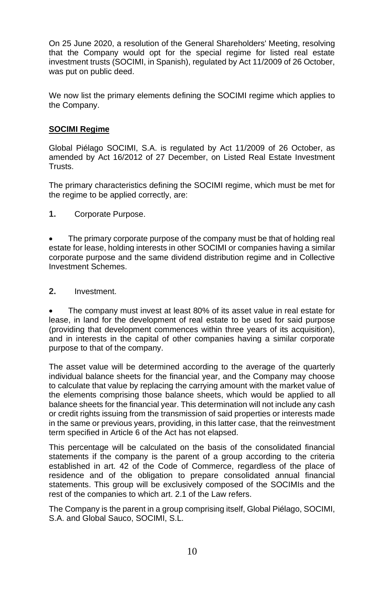On 25 June 2020, a resolution of the General Shareholders' Meeting, resolving that the Company would opt for the special regime for listed real estate investment trusts (SOCIMI, in Spanish), regulated by Act 11/2009 of 26 October, was put on public deed.

We now list the primary elements defining the SOCIMI regime which applies to the Company.

# **SOCIMI Regime**

Global Piélago SOCIMI, S.A. is regulated by Act 11/2009 of 26 October, as amended by Act 16/2012 of 27 December, on Listed Real Estate Investment Trusts.

The primary characteristics defining the SOCIMI regime, which must be met for the regime to be applied correctly, are:

**1.** Corporate Purpose.

The primary corporate purpose of the company must be that of holding real estate for lease, holding interests in other SOCIMI or companies having a similar corporate purpose and the same dividend distribution regime and in Collective Investment Schemes.

**2.** Investment.

• The company must invest at least 80% of its asset value in real estate for lease, in land for the development of real estate to be used for said purpose (providing that development commences within three years of its acquisition), and in interests in the capital of other companies having a similar corporate purpose to that of the company.

The asset value will be determined according to the average of the quarterly individual balance sheets for the financial year, and the Company may choose to calculate that value by replacing the carrying amount with the market value of the elements comprising those balance sheets, which would be applied to all balance sheets for the financial year. This determination will not include any cash or credit rights issuing from the transmission of said properties or interests made in the same or previous years, providing, in this latter case, that the reinvestment term specified in Article 6 of the Act has not elapsed.

This percentage will be calculated on the basis of the consolidated financial statements if the company is the parent of a group according to the criteria established in art. 42 of the Code of Commerce, regardless of the place of residence and of the obligation to prepare consolidated annual financial statements. This group will be exclusively composed of the SOCIMIs and the rest of the companies to which art. 2.1 of the Law refers.

The Company is the parent in a group comprising itself, Global Piélago, SOCIMI, S.A. and Global Sauco, SOCIMI, S.L.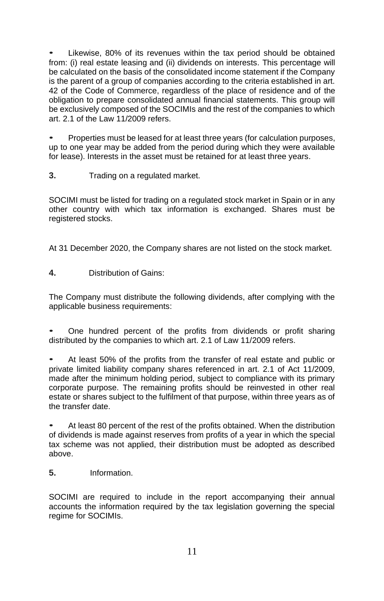• Likewise, 80% of its revenues within the tax period should be obtained from: (i) real estate leasing and (ii) dividends on interests. This percentage will be calculated on the basis of the consolidated income statement if the Company is the parent of a group of companies according to the criteria established in art. 42 of the Code of Commerce, regardless of the place of residence and of the obligation to prepare consolidated annual financial statements. This group will be exclusively composed of the SOCIMIs and the rest of the companies to which art. 2.1 of the Law 11/2009 refers.

• Properties must be leased for at least three years (for calculation purposes, up to one year may be added from the period during which they were available for lease). Interests in the asset must be retained for at least three years.

**3.** Trading on a regulated market.

SOCIMI must be listed for trading on a regulated stock market in Spain or in any other country with which tax information is exchanged. Shares must be registered stocks.

At 31 December 2020, the Company shares are not listed on the stock market.

**4.** Distribution of Gains:

The Company must distribute the following dividends, after complying with the applicable business requirements:

• One hundred percent of the profits from dividends or profit sharing distributed by the companies to which art. 2.1 of Law 11/2009 refers.

• At least 50% of the profits from the transfer of real estate and public or private limited liability company shares referenced in art. 2.1 of Act 11/2009, made after the minimum holding period, subject to compliance with its primary corporate purpose. The remaining profits should be reinvested in other real estate or shares subject to the fulfilment of that purpose, within three years as of the transfer date.

At least 80 percent of the rest of the profits obtained. When the distribution of dividends is made against reserves from profits of a year in which the special tax scheme was not applied, their distribution must be adopted as described above.

**5.** Information.

SOCIMI are required to include in the report accompanying their annual accounts the information required by the tax legislation governing the special regime for SOCIMIs.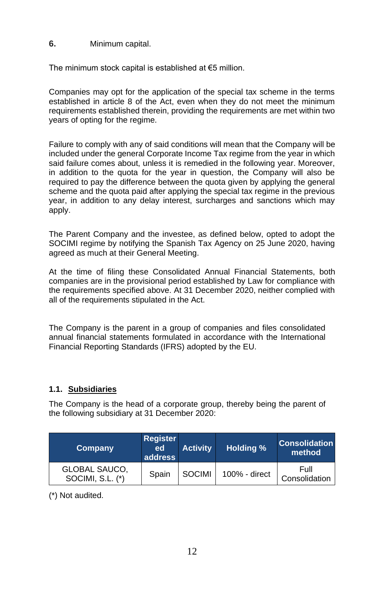# **6.** Minimum capital.

The minimum stock capital is established at €5 million.

Companies may opt for the application of the special tax scheme in the terms established in article 8 of the Act, even when they do not meet the minimum requirements established therein, providing the requirements are met within two years of opting for the regime.

Failure to comply with any of said conditions will mean that the Company will be included under the general Corporate Income Tax regime from the year in which said failure comes about, unless it is remedied in the following year. Moreover, in addition to the quota for the year in question, the Company will also be required to pay the difference between the quota given by applying the general scheme and the quota paid after applying the special tax regime in the previous year, in addition to any delay interest, surcharges and sanctions which may apply.

The Parent Company and the investee, as defined below, opted to adopt the SOCIMI regime by notifying the Spanish Tax Agency on 25 June 2020, having agreed as much at their General Meeting.

At the time of filing these Consolidated Annual Financial Statements, both companies are in the provisional period established by Law for compliance with the requirements specified above. At 31 December 2020, neither complied with all of the requirements stipulated in the Act.

The Company is the parent in a group of companies and files consolidated annual financial statements formulated in accordance with the International Financial Reporting Standards (IFRS) adopted by the EU.

# **1.1. Subsidiaries**

The Company is the head of a corporate group, thereby being the parent of the following subsidiary at 31 December 2020:

| Company                           | <b>Register</b><br>ed<br>address | <b>Activity</b> | <b>Holding %</b> | <b>Consolidation</b><br>method |
|-----------------------------------|----------------------------------|-----------------|------------------|--------------------------------|
| GLOBAL SAUCO.<br>SOCIMI, S.L. (*) | Spain                            | <b>SOCIMI</b>   | 100% - direct    | Full<br>Consolidation          |

(\*) Not audited.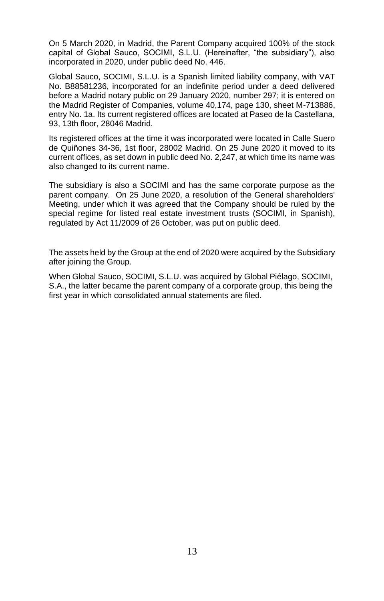On 5 March 2020, in Madrid, the Parent Company acquired 100% of the stock capital of Global Sauco, SOCIMI, S.L.U. (Hereinafter, "the subsidiary"), also incorporated in 2020, under public deed No. 446.

Global Sauco, SOCIMI, S.L.U. is a Spanish limited liability company, with VAT No. B88581236, incorporated for an indefinite period under a deed delivered before a Madrid notary public on 29 January 2020, number 297; it is entered on the Madrid Register of Companies, volume 40,174, page 130, sheet M-713886, entry No. 1a. Its current registered offices are located at Paseo de la Castellana, 93, 13th floor, 28046 Madrid.

Its registered offices at the time it was incorporated were located in Calle Suero de Quiñones 34-36, 1st floor, 28002 Madrid. On 25 June 2020 it moved to its current offices, as set down in public deed No. 2,247, at which time its name was also changed to its current name.

The subsidiary is also a SOCIMI and has the same corporate purpose as the parent company. On 25 June 2020, a resolution of the General shareholders' Meeting, under which it was agreed that the Company should be ruled by the special regime for listed real estate investment trusts (SOCIMI, in Spanish), regulated by Act 11/2009 of 26 October, was put on public deed.

The assets held by the Group at the end of 2020 were acquired by the Subsidiary after joining the Group.

When Global Sauco, SOCIMI, S.L.U. was acquired by Global Piélago, SOCIMI, S.A., the latter became the parent company of a corporate group, this being the first year in which consolidated annual statements are filed.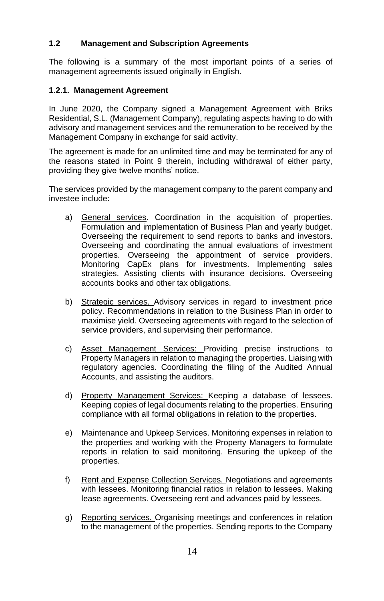# **1.2 Management and Subscription Agreements**

The following is a summary of the most important points of a series of management agreements issued originally in English.

# **1.2.1. Management Agreement**

In June 2020, the Company signed a Management Agreement with Briks Residential, S.L. (Management Company), regulating aspects having to do with advisory and management services and the remuneration to be received by the Management Company in exchange for said activity.

The agreement is made for an unlimited time and may be terminated for any of the reasons stated in Point 9 therein, including withdrawal of either party, providing they give twelve months' notice.

The services provided by the management company to the parent company and investee include:

- a) General services. Coordination in the acquisition of properties. Formulation and implementation of Business Plan and yearly budget. Overseeing the requirement to send reports to banks and investors. Overseeing and coordinating the annual evaluations of investment properties. Overseeing the appointment of service providers. Monitoring CapEx plans for investments. Implementing sales strategies. Assisting clients with insurance decisions. Overseeing accounts books and other tax obligations.
- b) Strategic services. Advisory services in regard to investment price policy. Recommendations in relation to the Business Plan in order to maximise yield. Overseeing agreements with regard to the selection of service providers, and supervising their performance.
- c) Asset Management Services: Providing precise instructions to Property Managers in relation to managing the properties. Liaising with regulatory agencies. Coordinating the filing of the Audited Annual Accounts, and assisting the auditors.
- d) Property Management Services: Keeping a database of lessees. Keeping copies of legal documents relating to the properties. Ensuring compliance with all formal obligations in relation to the properties.
- e) Maintenance and Upkeep Services. Monitoring expenses in relation to the properties and working with the Property Managers to formulate reports in relation to said monitoring. Ensuring the upkeep of the properties.
- f) Rent and Expense Collection Services. Negotiations and agreements with lessees. Monitoring financial ratios in relation to lessees. Making lease agreements. Overseeing rent and advances paid by lessees.
- g) Reporting services. Organising meetings and conferences in relation to the management of the properties. Sending reports to the Company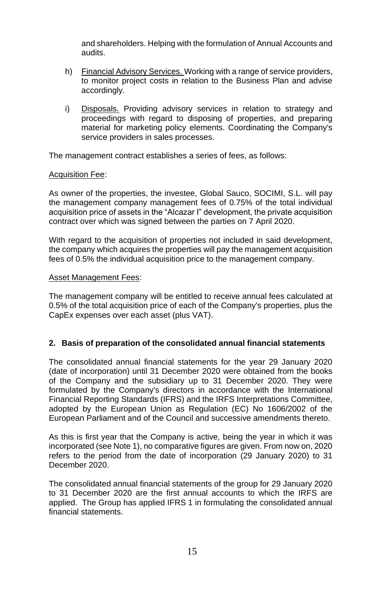and shareholders. Helping with the formulation of Annual Accounts and audits.

- h) Financial Advisory Services. Working with a range of service providers, to monitor project costs in relation to the Business Plan and advise accordingly.
- i) Disposals. Providing advisory services in relation to strategy and proceedings with regard to disposing of properties, and preparing material for marketing policy elements. Coordinating the Company's service providers in sales processes.

The management contract establishes a series of fees, as follows:

# Acquisition Fee:

As owner of the properties, the investee, Global Sauco, SOCIMI, S.L. will pay the management company management fees of 0.75% of the total individual acquisition price of assets in the "Alcazar I" development, the private acquisition contract over which was signed between the parties on 7 April 2020.

With regard to the acquisition of properties not included in said development, the company which acquires the properties will pay the management acquisition fees of 0.5% the individual acquisition price to the management company.

### Asset Management Fees:

The management company will be entitled to receive annual fees calculated at 0.5% of the total acquisition price of each of the Company's properties, plus the CapEx expenses over each asset (plus VAT).

# **2. Basis of preparation of the consolidated annual financial statements**

The consolidated annual financial statements for the year 29 January 2020 (date of incorporation) until 31 December 2020 were obtained from the books of the Company and the subsidiary up to 31 December 2020. They were formulated by the Company's directors in accordance with the International Financial Reporting Standards (IFRS) and the IRFS Interpretations Committee, adopted by the European Union as Regulation (EC) No 1606/2002 of the European Parliament and of the Council and successive amendments thereto.

As this is first year that the Company is active, being the year in which it was incorporated (see Note 1), no comparative figures are given. From now on, 2020 refers to the period from the date of incorporation (29 January 2020) to 31 December 2020.

The consolidated annual financial statements of the group for 29 January 2020 to 31 December 2020 are the first annual accounts to which the IRFS are applied. The Group has applied IFRS 1 in formulating the consolidated annual financial statements.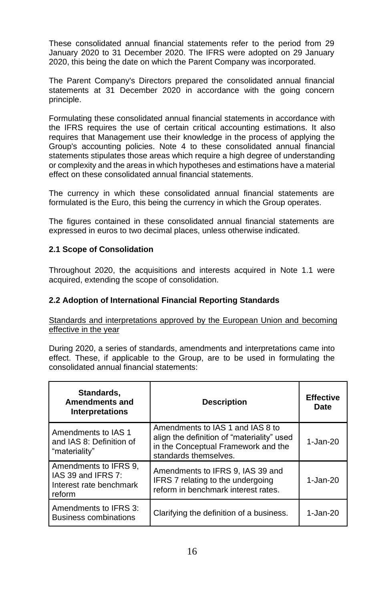These consolidated annual financial statements refer to the period from 29 January 2020 to 31 December 2020. The IFRS were adopted on 29 January 2020, this being the date on which the Parent Company was incorporated.

The Parent Company's Directors prepared the consolidated annual financial statements at 31 December 2020 in accordance with the going concern principle.

Formulating these consolidated annual financial statements in accordance with the IFRS requires the use of certain critical accounting estimations. It also requires that Management use their knowledge in the process of applying the Group's accounting policies. Note 4 to these consolidated annual financial statements stipulates those areas which require a high degree of understanding or complexity and the areas in which hypotheses and estimations have a material effect on these consolidated annual financial statements.

The currency in which these consolidated annual financial statements are formulated is the Euro, this being the currency in which the Group operates.

The figures contained in these consolidated annual financial statements are expressed in euros to two decimal places, unless otherwise indicated.

# **2.1 Scope of Consolidation**

Throughout 2020, the acquisitions and interests acquired in Note 1.1 were acquired, extending the scope of consolidation.

# **2.2 Adoption of International Financial Reporting Standards**

Standards and interpretations approved by the European Union and becoming effective in the year

During 2020, a series of standards, amendments and interpretations came into effect. These, if applicable to the Group, are to be used in formulating the consolidated annual financial statements:

| Standards,<br>Amendments and<br><b>Interpretations</b>                           | <b>Description</b>                                                                                                                             | <b>Effective</b><br>Date |
|----------------------------------------------------------------------------------|------------------------------------------------------------------------------------------------------------------------------------------------|--------------------------|
| Amendments to IAS 1<br>and IAS 8: Definition of<br>"materiality"                 | Amendments to IAS 1 and IAS 8 to<br>align the definition of "materiality" used<br>in the Conceptual Framework and the<br>standards themselves. | $1 - Jan-20$             |
| Amendments to IFRS 9.<br>IAS 39 and IFRS 7:<br>Interest rate benchmark<br>reform | Amendments to IFRS 9, IAS 39 and<br>IFRS 7 relating to the undergoing<br>reform in benchmark interest rates.                                   | $1-Jan-20$               |
| Amendments to IFRS 3:<br><b>Business combinations</b>                            | Clarifying the definition of a business.                                                                                                       | $1-Jan-20$               |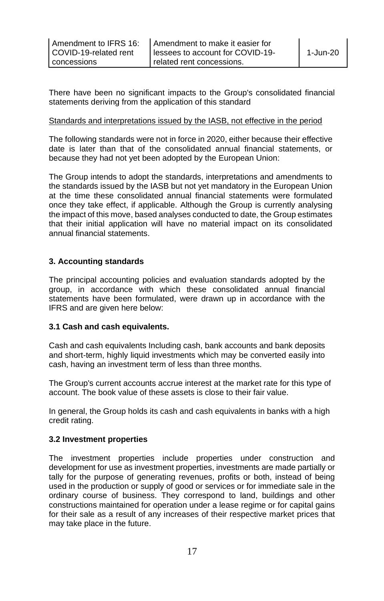There have been no significant impacts to the Group's consolidated financial statements deriving from the application of this standard

### Standards and interpretations issued by the IASB, not effective in the period

The following standards were not in force in 2020, either because their effective date is later than that of the consolidated annual financial statements, or because they had not yet been adopted by the European Union:

The Group intends to adopt the standards, interpretations and amendments to the standards issued by the IASB but not yet mandatory in the European Union at the time these consolidated annual financial statements were formulated once they take effect, if applicable. Although the Group is currently analysing the impact of this move, based analyses conducted to date, the Group estimates that their initial application will have no material impact on its consolidated annual financial statements.

# **3. Accounting standards**

The principal accounting policies and evaluation standards adopted by the group, in accordance with which these consolidated annual financial statements have been formulated, were drawn up in accordance with the IFRS and are given here below:

# **3.1 Cash and cash equivalents.**

Cash and cash equivalents Including cash, bank accounts and bank deposits and short-term, highly liquid investments which may be converted easily into cash, having an investment term of less than three months.

The Group's current accounts accrue interest at the market rate for this type of account. The book value of these assets is close to their fair value.

In general, the Group holds its cash and cash equivalents in banks with a high credit rating.

# **3.2 Investment properties**

The investment properties include properties under construction and development for use as investment properties, investments are made partially or tally for the purpose of generating revenues, profits or both, instead of being used in the production or supply of good or services or for immediate sale in the ordinary course of business. They correspond to land, buildings and other constructions maintained for operation under a lease regime or for capital gains for their sale as a result of any increases of their respective market prices that may take place in the future.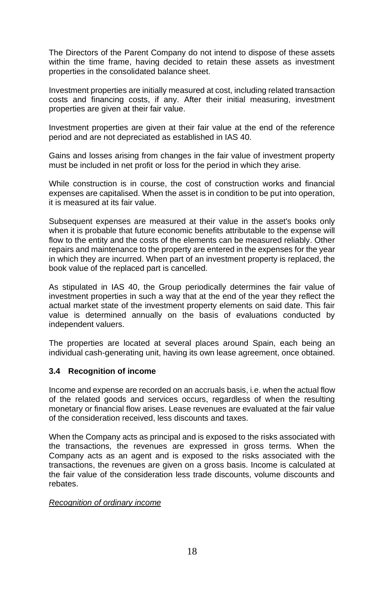The Directors of the Parent Company do not intend to dispose of these assets within the time frame, having decided to retain these assets as investment properties in the consolidated balance sheet.

Investment properties are initially measured at cost, including related transaction costs and financing costs, if any. After their initial measuring, investment properties are given at their fair value.

Investment properties are given at their fair value at the end of the reference period and are not depreciated as established in IAS 40.

Gains and losses arising from changes in the fair value of investment property must be included in net profit or loss for the period in which they arise.

While construction is in course, the cost of construction works and financial expenses are capitalised. When the asset is in condition to be put into operation, it is measured at its fair value.

Subsequent expenses are measured at their value in the asset's books only when it is probable that future economic benefits attributable to the expense will flow to the entity and the costs of the elements can be measured reliably. Other repairs and maintenance to the property are entered in the expenses for the year in which they are incurred. When part of an investment property is replaced, the book value of the replaced part is cancelled.

As stipulated in IAS 40, the Group periodically determines the fair value of investment properties in such a way that at the end of the year they reflect the actual market state of the investment property elements on said date. This fair value is determined annually on the basis of evaluations conducted by independent valuers.

The properties are located at several places around Spain, each being an individual cash-generating unit, having its own lease agreement, once obtained.

# **3.4 Recognition of income**

Income and expense are recorded on an accruals basis, i.e. when the actual flow of the related goods and services occurs, regardless of when the resulting monetary or financial flow arises. Lease revenues are evaluated at the fair value of the consideration received, less discounts and taxes.

When the Company acts as principal and is exposed to the risks associated with the transactions, the revenues are expressed in gross terms. When the Company acts as an agent and is exposed to the risks associated with the transactions, the revenues are given on a gross basis. Income is calculated at the fair value of the consideration less trade discounts, volume discounts and rebates.

# *Recognition of ordinary income*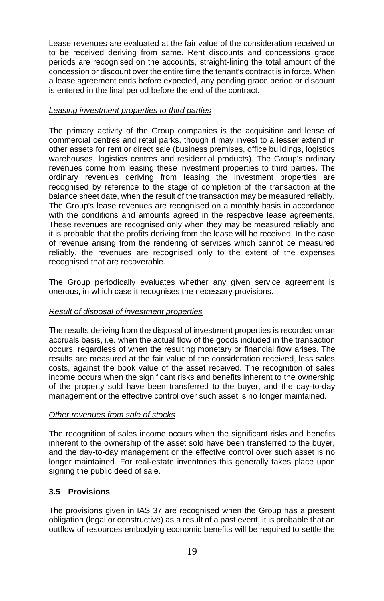Lease revenues are evaluated at the fair value of the consideration received or to be received deriving from same. Rent discounts and concessions grace periods are recognised on the accounts, straight-lining the total amount of the concession or discount over the entire time the tenant's contract is in force. When a lease agreement ends before expected, any pending grace period or discount is entered in the final period before the end of the contract.

# *Leasing investment properties to third parties*

The primary activity of the Group companies is the acquisition and lease of commercial centres and retail parks, though it may invest to a lesser extend in other assets for rent or direct sale (business premises, office buildings, logistics warehouses, logistics centres and residential products). The Group's ordinary revenues come from leasing these investment properties to third parties. The ordinary revenues deriving from leasing the investment properties are recognised by reference to the stage of completion of the transaction at the balance sheet date, when the result of the transaction may be measured reliably. The Group's lease revenues are recognised on a monthly basis in accordance with the conditions and amounts agreed in the respective lease agreements. These revenues are recognised only when they may be measured reliably and it is probable that the profits deriving from the lease will be received. In the case of revenue arising from the rendering of services which cannot be measured reliably, the revenues are recognised only to the extent of the expenses recognised that are recoverable.

The Group periodically evaluates whether any given service agreement is onerous, in which case it recognises the necessary provisions.

# *Result of disposal of investment properties*

The results deriving from the disposal of investment properties is recorded on an accruals basis, i.e. when the actual flow of the goods included in the transaction occurs, regardless of when the resulting monetary or financial flow arises. The results are measured at the fair value of the consideration received, less sales costs, against the book value of the asset received. The recognition of sales income occurs when the significant risks and benefits inherent to the ownership of the property sold have been transferred to the buyer, and the day-to-day management or the effective control over such asset is no longer maintained.

# *Other revenues from sale of stocks*

The recognition of sales income occurs when the significant risks and benefits inherent to the ownership of the asset sold have been transferred to the buyer, and the day-to-day management or the effective control over such asset is no longer maintained. For real-estate inventories this generally takes place upon signing the public deed of sale.

# **3.5 Provisions**

The provisions given in IAS 37 are recognised when the Group has a present obligation (legal or constructive) as a result of a past event, it is probable that an outflow of resources embodying economic benefits will be required to settle the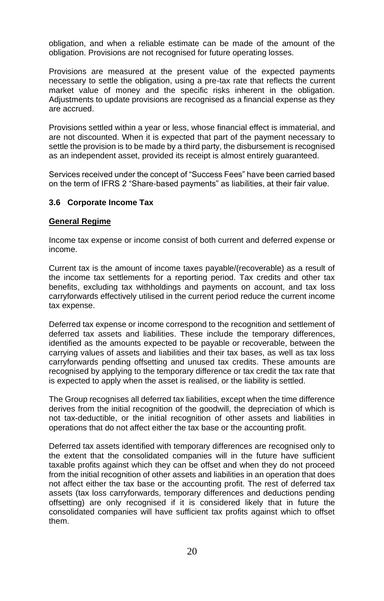obligation, and when a reliable estimate can be made of the amount of the obligation. Provisions are not recognised for future operating losses.

Provisions are measured at the present value of the expected payments necessary to settle the obligation, using a pre-tax rate that reflects the current market value of money and the specific risks inherent in the obligation. Adjustments to update provisions are recognised as a financial expense as they are accrued.

Provisions settled within a year or less, whose financial effect is immaterial, and are not discounted. When it is expected that part of the payment necessary to settle the provision is to be made by a third party, the disbursement is recognised as an independent asset, provided its receipt is almost entirely guaranteed.

Services received under the concept of "Success Fees" have been carried based on the term of IFRS 2 "Share-based payments" as liabilities, at their fair value.

# **3.6 Corporate Income Tax**

#### **General Regime**

Income tax expense or income consist of both current and deferred expense or income.

Current tax is the amount of income taxes payable/(recoverable) as a result of the income tax settlements for a reporting period. Tax credits and other tax benefits, excluding tax withholdings and payments on account, and tax loss carryforwards effectively utilised in the current period reduce the current income tax expense.

Deferred tax expense or income correspond to the recognition and settlement of deferred tax assets and liabilities. These include the temporary differences, identified as the amounts expected to be payable or recoverable, between the carrying values of assets and liabilities and their tax bases, as well as tax loss carryforwards pending offsetting and unused tax credits. These amounts are recognised by applying to the temporary difference or tax credit the tax rate that is expected to apply when the asset is realised, or the liability is settled.

The Group recognises all deferred tax liabilities, except when the time difference derives from the initial recognition of the goodwill, the depreciation of which is not tax-deductible, or the initial recognition of other assets and liabilities in operations that do not affect either the tax base or the accounting profit.

Deferred tax assets identified with temporary differences are recognised only to the extent that the consolidated companies will in the future have sufficient taxable profits against which they can be offset and when they do not proceed from the initial recognition of other assets and liabilities in an operation that does not affect either the tax base or the accounting profit. The rest of deferred tax assets (tax loss carryforwards, temporary differences and deductions pending offsetting) are only recognised if it is considered likely that in future the consolidated companies will have sufficient tax profits against which to offset them.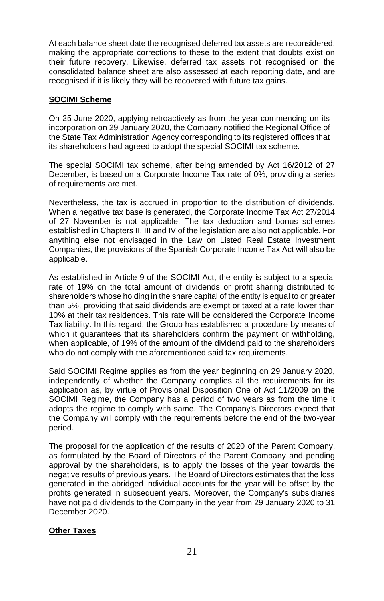At each balance sheet date the recognised deferred tax assets are reconsidered, making the appropriate corrections to these to the extent that doubts exist on their future recovery. Likewise, deferred tax assets not recognised on the consolidated balance sheet are also assessed at each reporting date, and are recognised if it is likely they will be recovered with future tax gains.

# **SOCIMI Scheme**

On 25 June 2020, applying retroactively as from the year commencing on its incorporation on 29 January 2020, the Company notified the Regional Office of the State Tax Administration Agency corresponding to its registered offices that its shareholders had agreed to adopt the special SOCIMI tax scheme.

The special SOCIMI tax scheme, after being amended by Act 16/2012 of 27 December, is based on a Corporate Income Tax rate of 0%, providing a series of requirements are met.

Nevertheless, the tax is accrued in proportion to the distribution of dividends. When a negative tax base is generated, the Corporate Income Tax Act 27/2014 of 27 November is not applicable. The tax deduction and bonus schemes established in Chapters II, III and IV of the legislation are also not applicable. For anything else not envisaged in the Law on Listed Real Estate Investment Companies, the provisions of the Spanish Corporate Income Tax Act will also be applicable.

As established in Article 9 of the SOCIMI Act, the entity is subject to a special rate of 19% on the total amount of dividends or profit sharing distributed to shareholders whose holding in the share capital of the entity is equal to or greater than 5%, providing that said dividends are exempt or taxed at a rate lower than 10% at their tax residences. This rate will be considered the Corporate Income Tax liability. In this regard, the Group has established a procedure by means of which it guarantees that its shareholders confirm the payment or withholding, when applicable, of 19% of the amount of the dividend paid to the shareholders who do not comply with the aforementioned said tax requirements.

Said SOCIMI Regime applies as from the year beginning on 29 January 2020, independently of whether the Company complies all the requirements for its application as, by virtue of Provisional Disposition One of Act 11/2009 on the SOCIMI Regime, the Company has a period of two years as from the time it adopts the regime to comply with same. The Company's Directors expect that the Company will comply with the requirements before the end of the two-year period.

The proposal for the application of the results of 2020 of the Parent Company, as formulated by the Board of Directors of the Parent Company and pending approval by the shareholders, is to apply the losses of the year towards the negative results of previous years. The Board of Directors estimates that the loss generated in the abridged individual accounts for the year will be offset by the profits generated in subsequent years. Moreover, the Company's subsidiaries have not paid dividends to the Company in the year from 29 January 2020 to 31 December 2020.

# **Other Taxes**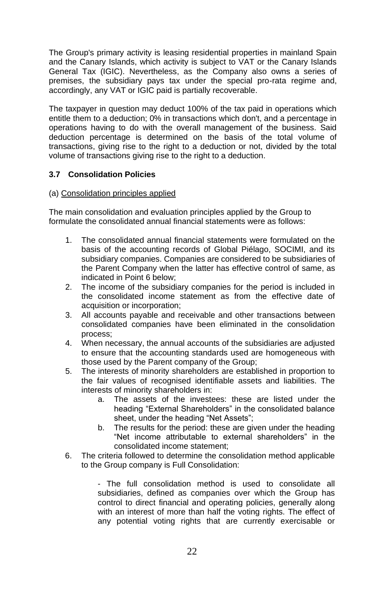The Group's primary activity is leasing residential properties in mainland Spain and the Canary Islands, which activity is subject to VAT or the Canary Islands General Tax (IGIC). Nevertheless, as the Company also owns a series of premises, the subsidiary pays tax under the special pro-rata regime and, accordingly, any VAT or IGIC paid is partially recoverable.

The taxpayer in question may deduct 100% of the tax paid in operations which entitle them to a deduction; 0% in transactions which don't, and a percentage in operations having to do with the overall management of the business. Said deduction percentage is determined on the basis of the total volume of transactions, giving rise to the right to a deduction or not, divided by the total volume of transactions giving rise to the right to a deduction.

# **3.7 Consolidation Policies**

# (a) Consolidation principles applied

The main consolidation and evaluation principles applied by the Group to formulate the consolidated annual financial statements were as follows:

- 1. The consolidated annual financial statements were formulated on the basis of the accounting records of Global Piélago, SOCIMI, and its subsidiary companies. Companies are considered to be subsidiaries of the Parent Company when the latter has effective control of same, as indicated in Point 6 below;
- 2. The income of the subsidiary companies for the period is included in the consolidated income statement as from the effective date of acquisition or incorporation;
- 3. All accounts payable and receivable and other transactions between consolidated companies have been eliminated in the consolidation process;
- 4. When necessary, the annual accounts of the subsidiaries are adjusted to ensure that the accounting standards used are homogeneous with those used by the Parent company of the Group;
- 5. The interests of minority shareholders are established in proportion to the fair values of recognised identifiable assets and liabilities. The interests of minority shareholders in:
	- a. The assets of the investees: these are listed under the heading "External Shareholders" in the consolidated balance sheet, under the heading "Net Assets";
	- b. The results for the period: these are given under the heading "Net income attributable to external shareholders" in the consolidated income statement;
- 6. The criteria followed to determine the consolidation method applicable to the Group company is Full Consolidation:

- The full consolidation method is used to consolidate all subsidiaries, defined as companies over which the Group has control to direct financial and operating policies, generally along with an interest of more than half the voting rights. The effect of any potential voting rights that are currently exercisable or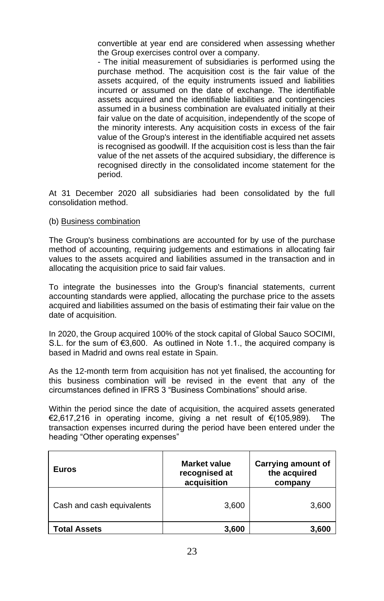convertible at year end are considered when assessing whether the Group exercises control over a company.

- The initial measurement of subsidiaries is performed using the purchase method. The acquisition cost is the fair value of the assets acquired, of the equity instruments issued and liabilities incurred or assumed on the date of exchange. The identifiable assets acquired and the identifiable liabilities and contingencies assumed in a business combination are evaluated initially at their fair value on the date of acquisition, independently of the scope of the minority interests. Any acquisition costs in excess of the fair value of the Group's interest in the identifiable acquired net assets is recognised as goodwill. If the acquisition cost is less than the fair value of the net assets of the acquired subsidiary, the difference is recognised directly in the consolidated income statement for the period.

At 31 December 2020 all subsidiaries had been consolidated by the full consolidation method.

### (b) Business combination

The Group's business combinations are accounted for by use of the purchase method of accounting, requiring judgements and estimations in allocating fair values to the assets acquired and liabilities assumed in the transaction and in allocating the acquisition price to said fair values.

To integrate the businesses into the Group's financial statements, current accounting standards were applied, allocating the purchase price to the assets acquired and liabilities assumed on the basis of estimating their fair value on the date of acquisition.

In 2020, the Group acquired 100% of the stock capital of Global Sauco SOCIMI, S.L. for the sum of  $63,600$ . As outlined in Note 1.1., the acquired company is based in Madrid and owns real estate in Spain.

As the 12-month term from acquisition has not yet finalised, the accounting for this business combination will be revised in the event that any of the circumstances defined in IFRS 3 "Business Combinations" should arise.

Within the period since the date of acquisition, the acquired assets generated €2,617,216 in operating income, giving a net result of €(105,989). The transaction expenses incurred during the period have been entered under the heading "Other operating expenses"

| <b>Euros</b>              | <b>Market value</b><br>recognised at<br>acquisition | <b>Carrying amount of</b><br>the acquired<br>company |
|---------------------------|-----------------------------------------------------|------------------------------------------------------|
| Cash and cash equivalents | 3.600                                               | 3.600                                                |
| <b>Total Assets</b>       | 3,600                                               | 3.600                                                |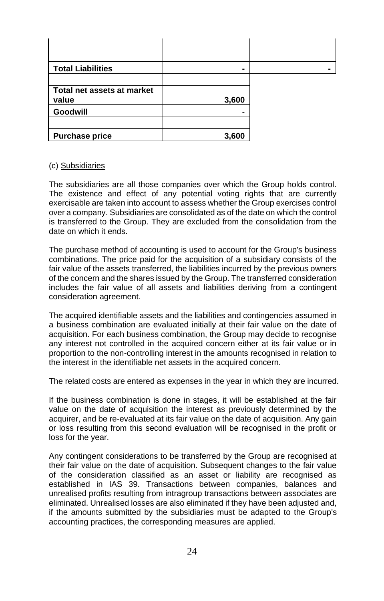| <b>Total Liabilities</b>            | -     |  |
|-------------------------------------|-------|--|
| Total net assets at market<br>value | 3,600 |  |
| Goodwill                            |       |  |
| <b>Purchase price</b>               | 3,600 |  |

### (c) Subsidiaries

The subsidiaries are all those companies over which the Group holds control. The existence and effect of any potential voting rights that are currently exercisable are taken into account to assess whether the Group exercises control over a company. Subsidiaries are consolidated as of the date on which the control is transferred to the Group. They are excluded from the consolidation from the date on which it ends.

The purchase method of accounting is used to account for the Group's business combinations. The price paid for the acquisition of a subsidiary consists of the fair value of the assets transferred, the liabilities incurred by the previous owners of the concern and the shares issued by the Group. The transferred consideration includes the fair value of all assets and liabilities deriving from a contingent consideration agreement.

The acquired identifiable assets and the liabilities and contingencies assumed in a business combination are evaluated initially at their fair value on the date of acquisition. For each business combination, the Group may decide to recognise any interest not controlled in the acquired concern either at its fair value or in proportion to the non-controlling interest in the amounts recognised in relation to the interest in the identifiable net assets in the acquired concern.

The related costs are entered as expenses in the year in which they are incurred.

If the business combination is done in stages, it will be established at the fair value on the date of acquisition the interest as previously determined by the acquirer, and be re-evaluated at its fair value on the date of acquisition. Any gain or loss resulting from this second evaluation will be recognised in the profit or loss for the year.

Any contingent considerations to be transferred by the Group are recognised at their fair value on the date of acquisition. Subsequent changes to the fair value of the consideration classified as an asset or liability are recognised as established in IAS 39. Transactions between companies, balances and unrealised profits resulting from intragroup transactions between associates are eliminated. Unrealised losses are also eliminated if they have been adjusted and, if the amounts submitted by the subsidiaries must be adapted to the Group's accounting practices, the corresponding measures are applied.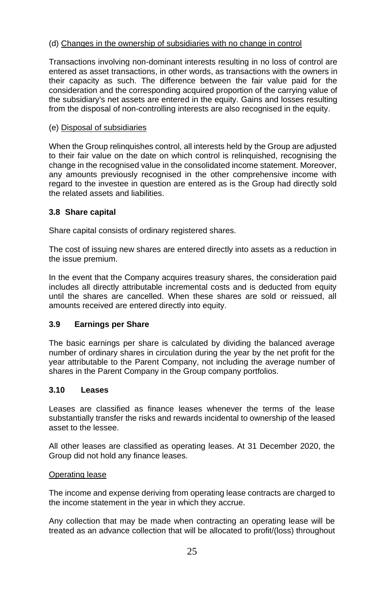# (d) Changes in the ownership of subsidiaries with no change in control

Transactions involving non-dominant interests resulting in no loss of control are entered as asset transactions, in other words, as transactions with the owners in their capacity as such. The difference between the fair value paid for the consideration and the corresponding acquired proportion of the carrying value of the subsidiary's net assets are entered in the equity. Gains and losses resulting from the disposal of non-controlling interests are also recognised in the equity.

# (e) Disposal of subsidiaries

When the Group relinquishes control, all interests held by the Group are adjusted to their fair value on the date on which control is relinquished, recognising the change in the recognised value in the consolidated income statement. Moreover, any amounts previously recognised in the other comprehensive income with regard to the investee in question are entered as is the Group had directly sold the related assets and liabilities.

# **3.8 Share capital**

Share capital consists of ordinary registered shares.

The cost of issuing new shares are entered directly into assets as a reduction in the issue premium.

In the event that the Company acquires treasury shares, the consideration paid includes all directly attributable incremental costs and is deducted from equity until the shares are cancelled. When these shares are sold or reissued, all amounts received are entered directly into equity.

# **3.9 Earnings per Share**

The basic earnings per share is calculated by dividing the balanced average number of ordinary shares in circulation during the year by the net profit for the year attributable to the Parent Company, not including the average number of shares in the Parent Company in the Group company portfolios.

# **3.10 Leases**

Leases are classified as finance leases whenever the terms of the lease substantially transfer the risks and rewards incidental to ownership of the leased asset to the lessee.

All other leases are classified as operating leases. At 31 December 2020, the Group did not hold any finance leases.

# Operating lease

The income and expense deriving from operating lease contracts are charged to the income statement in the year in which they accrue.

Any collection that may be made when contracting an operating lease will be treated as an advance collection that will be allocated to profit/(loss) throughout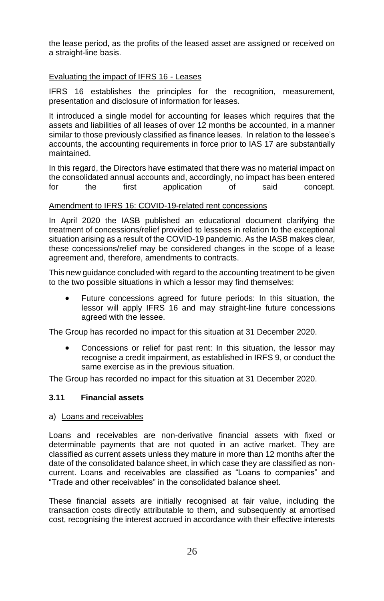the lease period, as the profits of the leased asset are assigned or received on a straight-line basis.

# Evaluating the impact of IFRS 16 - Leases

IFRS 16 establishes the principles for the recognition, measurement, presentation and disclosure of information for leases.

It introduced a single model for accounting for leases which requires that the assets and liabilities of all leases of over 12 months be accounted, in a manner similar to those previously classified as finance leases. In relation to the lessee's accounts, the accounting requirements in force prior to IAS 17 are substantially maintained.

In this regard, the Directors have estimated that there was no material impact on the consolidated annual accounts and, accordingly, no impact has been entered for the first application of said concept.

# Amendment to IFRS 16: COVID-19-related rent concessions

In April 2020 the IASB published an educational document clarifying the treatment of concessions/relief provided to lessees in relation to the exceptional situation arising as a result of the COVID-19 pandemic. As the IASB makes clear, these concessions/relief may be considered changes in the scope of a lease agreement and, therefore, amendments to contracts.

This new guidance concluded with regard to the accounting treatment to be given to the two possible situations in which a lessor may find themselves:

• Future concessions agreed for future periods: In this situation, the lessor will apply IFRS 16 and may straight-line future concessions agreed with the lessee.

The Group has recorded no impact for this situation at 31 December 2020.

• Concessions or relief for past rent: In this situation, the lessor may recognise a credit impairment, as established in IRFS 9, or conduct the same exercise as in the previous situation.

The Group has recorded no impact for this situation at 31 December 2020.

# **3.11 Financial assets**

#### a) Loans and receivables

Loans and receivables are non-derivative financial assets with fixed or determinable payments that are not quoted in an active market. They are classified as current assets unless they mature in more than 12 months after the date of the consolidated balance sheet, in which case they are classified as noncurrent. Loans and receivables are classified as "Loans to companies" and "Trade and other receivables" in the consolidated balance sheet.

These financial assets are initially recognised at fair value, including the transaction costs directly attributable to them, and subsequently at amortised cost, recognising the interest accrued in accordance with their effective interests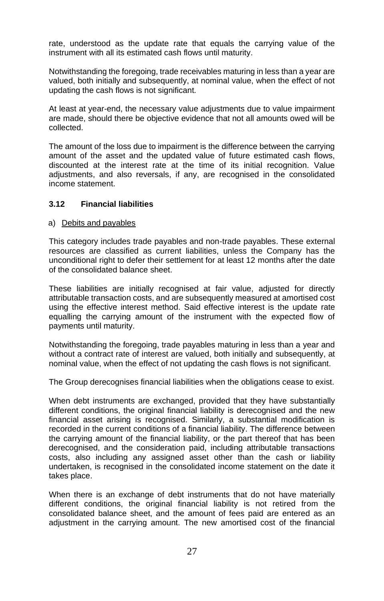rate, understood as the update rate that equals the carrying value of the instrument with all its estimated cash flows until maturity.

Notwithstanding the foregoing, trade receivables maturing in less than a year are valued, both initially and subsequently, at nominal value, when the effect of not updating the cash flows is not significant.

At least at year-end, the necessary value adjustments due to value impairment are made, should there be objective evidence that not all amounts owed will be collected.

The amount of the loss due to impairment is the difference between the carrying amount of the asset and the updated value of future estimated cash flows, discounted at the interest rate at the time of its initial recognition. Value adjustments, and also reversals, if any, are recognised in the consolidated income statement.

# **3.12 Financial liabilities**

### a) Debits and payables

This category includes trade payables and non-trade payables. These external resources are classified as current liabilities, unless the Company has the unconditional right to defer their settlement for at least 12 months after the date of the consolidated balance sheet.

These liabilities are initially recognised at fair value, adjusted for directly attributable transaction costs, and are subsequently measured at amortised cost using the effective interest method. Said effective interest is the update rate equalling the carrying amount of the instrument with the expected flow of payments until maturity.

Notwithstanding the foregoing, trade payables maturing in less than a year and without a contract rate of interest are valued, both initially and subsequently, at nominal value, when the effect of not updating the cash flows is not significant.

The Group derecognises financial liabilities when the obligations cease to exist.

When debt instruments are exchanged, provided that they have substantially different conditions, the original financial liability is derecognised and the new financial asset arising is recognised. Similarly, a substantial modification is recorded in the current conditions of a financial liability. The difference between the carrying amount of the financial liability, or the part thereof that has been derecognised, and the consideration paid, including attributable transactions costs, also including any assigned asset other than the cash or liability undertaken, is recognised in the consolidated income statement on the date it takes place.

When there is an exchange of debt instruments that do not have materially different conditions, the original financial liability is not retired from the consolidated balance sheet, and the amount of fees paid are entered as an adjustment in the carrying amount. The new amortised cost of the financial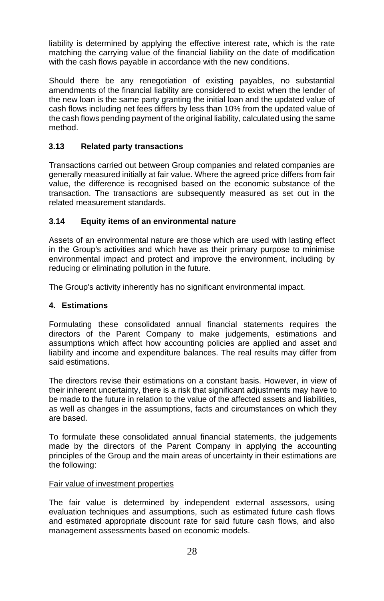liability is determined by applying the effective interest rate, which is the rate matching the carrying value of the financial liability on the date of modification with the cash flows payable in accordance with the new conditions.

Should there be any renegotiation of existing payables, no substantial amendments of the financial liability are considered to exist when the lender of the new loan is the same party granting the initial loan and the updated value of cash flows including net fees differs by less than 10% from the updated value of the cash flows pending payment of the original liability, calculated using the same method.

# **3.13 Related party transactions**

Transactions carried out between Group companies and related companies are generally measured initially at fair value. Where the agreed price differs from fair value, the difference is recognised based on the economic substance of the transaction. The transactions are subsequently measured as set out in the related measurement standards.

# **3.14 Equity items of an environmental nature**

Assets of an environmental nature are those which are used with lasting effect in the Group's activities and which have as their primary purpose to minimise environmental impact and protect and improve the environment, including by reducing or eliminating pollution in the future.

The Group's activity inherently has no significant environmental impact.

# **4. Estimations**

Formulating these consolidated annual financial statements requires the directors of the Parent Company to make judgements, estimations and assumptions which affect how accounting policies are applied and asset and liability and income and expenditure balances. The real results may differ from said estimations.

The directors revise their estimations on a constant basis. However, in view of their inherent uncertainty, there is a risk that significant adjustments may have to be made to the future in relation to the value of the affected assets and liabilities, as well as changes in the assumptions, facts and circumstances on which they are based.

To formulate these consolidated annual financial statements, the judgements made by the directors of the Parent Company in applying the accounting principles of the Group and the main areas of uncertainty in their estimations are the following:

# Fair value of investment properties

The fair value is determined by independent external assessors, using evaluation techniques and assumptions, such as estimated future cash flows and estimated appropriate discount rate for said future cash flows, and also management assessments based on economic models.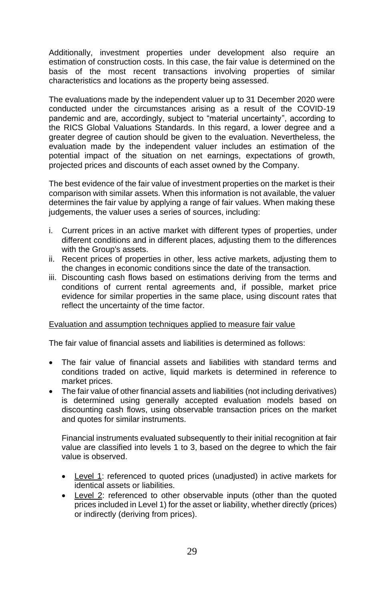Additionally, investment properties under development also require an estimation of construction costs. In this case, the fair value is determined on the basis of the most recent transactions involving properties of similar characteristics and locations as the property being assessed.

The evaluations made by the independent valuer up to 31 December 2020 were conducted under the circumstances arising as a result of the COVID-19 pandemic and are, accordingly, subject to "material uncertainty", according to the RICS Global Valuations Standards. In this regard, a lower degree and a greater degree of caution should be given to the evaluation. Nevertheless, the evaluation made by the independent valuer includes an estimation of the potential impact of the situation on net earnings, expectations of growth, projected prices and discounts of each asset owned by the Company.

The best evidence of the fair value of investment properties on the market is their comparison with similar assets. When this information is not available, the valuer determines the fair value by applying a range of fair values. When making these judgements, the valuer uses a series of sources, including:

- i. Current prices in an active market with different types of properties, under different conditions and in different places, adjusting them to the differences with the Group's assets.
- ii. Recent prices of properties in other, less active markets, adjusting them to the changes in economic conditions since the date of the transaction.
- iii. Discounting cash flows based on estimations deriving from the terms and conditions of current rental agreements and, if possible, market price evidence for similar properties in the same place, using discount rates that reflect the uncertainty of the time factor.

# Evaluation and assumption techniques applied to measure fair value

The fair value of financial assets and liabilities is determined as follows:

- The fair value of financial assets and liabilities with standard terms and conditions traded on active, liquid markets is determined in reference to market prices.
- The fair value of other financial assets and liabilities (not including derivatives) is determined using generally accepted evaluation models based on discounting cash flows, using observable transaction prices on the market and quotes for similar instruments.

Financial instruments evaluated subsequently to their initial recognition at fair value are classified into levels 1 to 3, based on the degree to which the fair value is observed.

- Level 1: referenced to quoted prices (unadjusted) in active markets for identical assets or liabilities.
- Level 2: referenced to other observable inputs (other than the quoted prices included in Level 1) for the asset or liability, whether directly (prices) or indirectly (deriving from prices).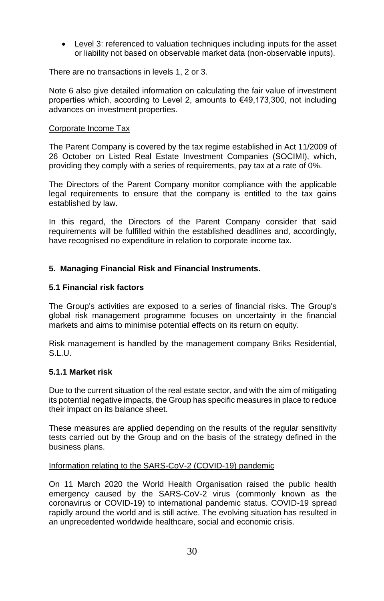• Level 3: referenced to valuation techniques including inputs for the asset or liability not based on observable market data (non-observable inputs).

There are no transactions in levels 1, 2 or 3.

Note 6 also give detailed information on calculating the fair value of investment properties which, according to Level 2, amounts to €49,173,300, not including advances on investment properties.

### Corporate Income Tax

The Parent Company is covered by the tax regime established in Act 11/2009 of 26 October on Listed Real Estate Investment Companies (SOCIMI), which, providing they comply with a series of requirements, pay tax at a rate of 0%.

The Directors of the Parent Company monitor compliance with the applicable legal requirements to ensure that the company is entitled to the tax gains established by law.

In this regard, the Directors of the Parent Company consider that said requirements will be fulfilled within the established deadlines and, accordingly, have recognised no expenditure in relation to corporate income tax.

# **5. Managing Financial Risk and Financial Instruments.**

# **5.1 Financial risk factors**

The Group's activities are exposed to a series of financial risks. The Group's global risk management programme focuses on uncertainty in the financial markets and aims to minimise potential effects on its return on equity.

Risk management is handled by the management company Briks Residential, S.L.U.

# **5.1.1 Market risk**

Due to the current situation of the real estate sector, and with the aim of mitigating its potential negative impacts, the Group has specific measures in place to reduce their impact on its balance sheet.

These measures are applied depending on the results of the regular sensitivity tests carried out by the Group and on the basis of the strategy defined in the business plans.

# Information relating to the SARS-CoV-2 (COVID-19) pandemic

On 11 March 2020 the World Health Organisation raised the public health emergency caused by the SARS-CoV-2 virus (commonly known as the coronavirus or COVID-19) to international pandemic status. COVID-19 spread rapidly around the world and is still active. The evolving situation has resulted in an unprecedented worldwide healthcare, social and economic crisis.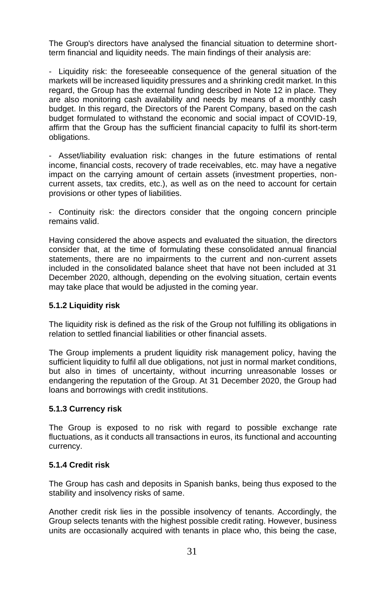The Group's directors have analysed the financial situation to determine shortterm financial and liquidity needs. The main findings of their analysis are:

- Liquidity risk: the foreseeable consequence of the general situation of the markets will be increased liquidity pressures and a shrinking credit market. In this regard, the Group has the external funding described in Note 12 in place. They are also monitoring cash availability and needs by means of a monthly cash budget. In this regard, the Directors of the Parent Company, based on the cash budget formulated to withstand the economic and social impact of COVID-19, affirm that the Group has the sufficient financial capacity to fulfil its short-term obligations.

- Asset/liability evaluation risk: changes in the future estimations of rental income, financial costs, recovery of trade receivables, etc. may have a negative impact on the carrying amount of certain assets (investment properties, noncurrent assets, tax credits, etc.), as well as on the need to account for certain provisions or other types of liabilities.

Continuity risk: the directors consider that the ongoing concern principle remains valid.

Having considered the above aspects and evaluated the situation, the directors consider that, at the time of formulating these consolidated annual financial statements, there are no impairments to the current and non-current assets included in the consolidated balance sheet that have not been included at 31 December 2020, although, depending on the evolving situation, certain events may take place that would be adjusted in the coming year.

# **5.1.2 Liquidity risk**

The liquidity risk is defined as the risk of the Group not fulfilling its obligations in relation to settled financial liabilities or other financial assets.

The Group implements a prudent liquidity risk management policy, having the sufficient liquidity to fulfil all due obligations, not just in normal market conditions, but also in times of uncertainty, without incurring unreasonable losses or endangering the reputation of the Group. At 31 December 2020, the Group had loans and borrowings with credit institutions.

#### **5.1.3 Currency risk**

The Group is exposed to no risk with regard to possible exchange rate fluctuations, as it conducts all transactions in euros, its functional and accounting currency.

# **5.1.4 Credit risk**

The Group has cash and deposits in Spanish banks, being thus exposed to the stability and insolvency risks of same.

Another credit risk lies in the possible insolvency of tenants. Accordingly, the Group selects tenants with the highest possible credit rating. However, business units are occasionally acquired with tenants in place who, this being the case,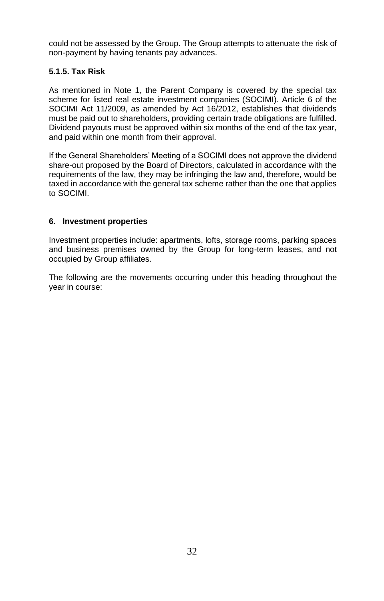could not be assessed by the Group. The Group attempts to attenuate the risk of non-payment by having tenants pay advances.

# **5.1.5. Tax Risk**

As mentioned in Note 1, the Parent Company is covered by the special tax scheme for listed real estate investment companies (SOCIMI). Article 6 of the SOCIMI Act 11/2009, as amended by Act 16/2012, establishes that dividends must be paid out to shareholders, providing certain trade obligations are fulfilled. Dividend payouts must be approved within six months of the end of the tax year, and paid within one month from their approval.

If the General Shareholders' Meeting of a SOCIMI does not approve the dividend share-out proposed by the Board of Directors, calculated in accordance with the requirements of the law, they may be infringing the law and, therefore, would be taxed in accordance with the general tax scheme rather than the one that applies to SOCIMI.

# **6. Investment properties**

Investment properties include: apartments, lofts, storage rooms, parking spaces and business premises owned by the Group for long-term leases, and not occupied by Group affiliates.

The following are the movements occurring under this heading throughout the year in course: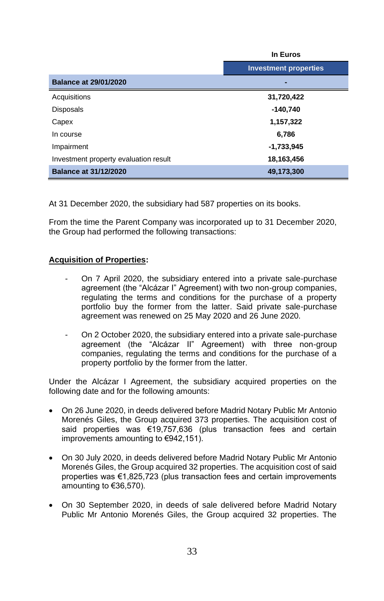|                                       | In Euros                     |
|---------------------------------------|------------------------------|
|                                       | <b>Investment properties</b> |
| <b>Balance at 29/01/2020</b>          |                              |
| Acquisitions                          | 31,720,422                   |
| <b>Disposals</b>                      | $-140,740$                   |
| Capex                                 | 1,157,322                    |
| In course                             | 6,786                        |
| Impairment                            | $-1,733,945$                 |
| Investment property evaluation result | 18,163,456                   |
| <b>Balance at 31/12/2020</b>          | 49,173,300                   |

At 31 December 2020, the subsidiary had 587 properties on its books.

From the time the Parent Company was incorporated up to 31 December 2020, the Group had performed the following transactions:

### **Acquisition of Properties:**

- On 7 April 2020, the subsidiary entered into a private sale-purchase agreement (the "Alcázar I" Agreement) with two non-group companies, regulating the terms and conditions for the purchase of a property portfolio buy the former from the latter. Said private sale-purchase agreement was renewed on 25 May 2020 and 26 June 2020.
- On 2 October 2020, the subsidiary entered into a private sale-purchase agreement (the "Alcázar II" Agreement) with three non-group companies, regulating the terms and conditions for the purchase of a property portfolio by the former from the latter.

Under the Alcázar I Agreement, the subsidiary acquired properties on the following date and for the following amounts:

- On 26 June 2020, in deeds delivered before Madrid Notary Public Mr Antonio Morenés Giles, the Group acquired 373 properties. The acquisition cost of said properties was €19,757,636 (plus transaction fees and certain improvements amounting to €942,151).
- On 30 July 2020, in deeds delivered before Madrid Notary Public Mr Antonio Morenés Giles, the Group acquired 32 properties. The acquisition cost of said properties was €1,825,723 (plus transaction fees and certain improvements amounting to €36,570).
- On 30 September 2020, in deeds of sale delivered before Madrid Notary Public Mr Antonio Morenés Giles, the Group acquired 32 properties. The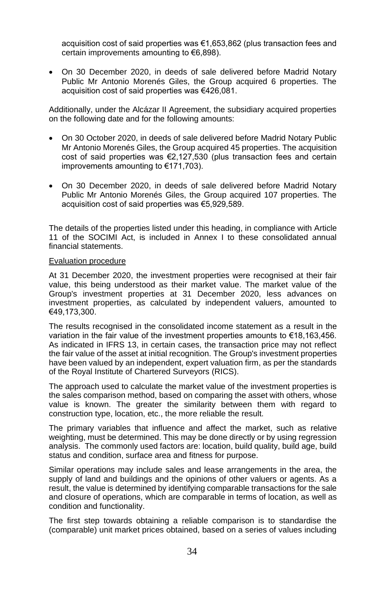acquisition cost of said properties was €1,653,862 (plus transaction fees and certain improvements amounting to €6,898).

• On 30 December 2020, in deeds of sale delivered before Madrid Notary Public Mr Antonio Morenés Giles, the Group acquired 6 properties. The acquisition cost of said properties was €426,081.

Additionally, under the Alcázar II Agreement, the subsidiary acquired properties on the following date and for the following amounts:

- On 30 October 2020, in deeds of sale delivered before Madrid Notary Public Mr Antonio Morenés Giles, the Group acquired 45 properties. The acquisition cost of said properties was €2,127,530 (plus transaction fees and certain improvements amounting to €171,703).
- On 30 December 2020, in deeds of sale delivered before Madrid Notary Public Mr Antonio Morenés Giles, the Group acquired 107 properties. The acquisition cost of said properties was €5,929,589.

The details of the properties listed under this heading, in compliance with Article 11 of the SOCIMI Act, is included in Annex I to these consolidated annual financial statements.

### Evaluation procedure

At 31 December 2020, the investment properties were recognised at their fair value, this being understood as their market value. The market value of the Group's investment properties at 31 December 2020, less advances on investment properties, as calculated by independent valuers, amounted to €49,173,300.

The results recognised in the consolidated income statement as a result in the variation in the fair value of the investment properties amounts to €18,163,456. As indicated in IFRS 13, in certain cases, the transaction price may not reflect the fair value of the asset at initial recognition. The Group's investment properties have been valued by an independent, expert valuation firm, as per the standards of the Royal Institute of Chartered Surveyors (RICS).

The approach used to calculate the market value of the investment properties is the sales comparison method, based on comparing the asset with others, whose value is known. The greater the similarity between them with regard to construction type, location, etc., the more reliable the result.

The primary variables that influence and affect the market, such as relative weighting, must be determined. This may be done directly or by using regression analysis. The commonly used factors are: location, build quality, build age, build status and condition, surface area and fitness for purpose.

Similar operations may include sales and lease arrangements in the area, the supply of land and buildings and the opinions of other valuers or agents. As a result, the value is determined by identifying comparable transactions for the sale and closure of operations, which are comparable in terms of location, as well as condition and functionality.

The first step towards obtaining a reliable comparison is to standardise the (comparable) unit market prices obtained, based on a series of values including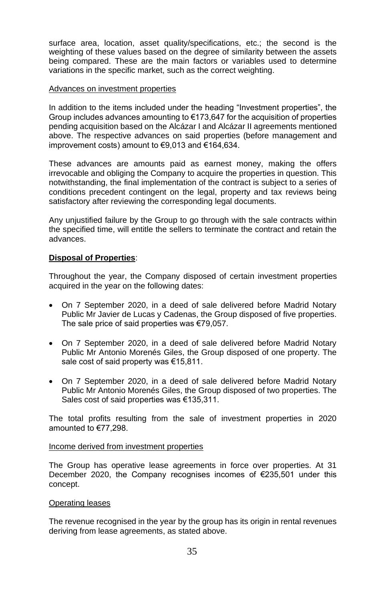surface area, location, asset quality/specifications, etc.; the second is the weighting of these values based on the degree of similarity between the assets being compared. These are the main factors or variables used to determine variations in the specific market, such as the correct weighting.

#### Advances on investment properties

In addition to the items included under the heading "Investment properties", the Group includes advances amounting to €173,647 for the acquisition of properties pending acquisition based on the Alcázar I and Alcázar II agreements mentioned above. The respective advances on said properties (before management and improvement costs) amount to €9,013 and €164,634.

These advances are amounts paid as earnest money, making the offers irrevocable and obliging the Company to acquire the properties in question. This notwithstanding, the final implementation of the contract is subject to a series of conditions precedent contingent on the legal, property and tax reviews being satisfactory after reviewing the corresponding legal documents.

Any unjustified failure by the Group to go through with the sale contracts within the specified time, will entitle the sellers to terminate the contract and retain the advances.

# **Disposal of Properties**:

Throughout the year, the Company disposed of certain investment properties acquired in the year on the following dates:

- On 7 September 2020, in a deed of sale delivered before Madrid Notary Public Mr Javier de Lucas y Cadenas, the Group disposed of five properties. The sale price of said properties was €79,057.
- On 7 September 2020, in a deed of sale delivered before Madrid Notary Public Mr Antonio Morenés Giles, the Group disposed of one property. The sale cost of said property was €15,811.
- On 7 September 2020, in a deed of sale delivered before Madrid Notary Public Mr Antonio Morenés Giles, the Group disposed of two properties. The Sales cost of said properties was €135,311.

The total profits resulting from the sale of investment properties in 2020 amounted to €77,298.

#### Income derived from investment properties

The Group has operative lease agreements in force over properties. At 31 December 2020, the Company recognises incomes of €235,501 under this concept.

### Operating leases

The revenue recognised in the year by the group has its origin in rental revenues deriving from lease agreements, as stated above.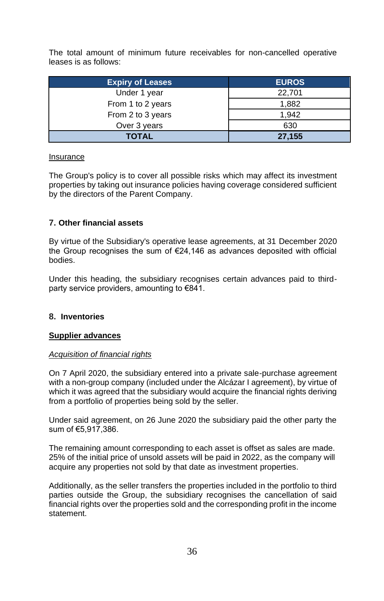The total amount of minimum future receivables for non-cancelled operative leases is as follows:

| <b>Expiry of Leases</b> | <b>EUROS</b> |
|-------------------------|--------------|
| Under 1 year            | 22,701       |
| From 1 to 2 years       | 1,882        |
| From 2 to 3 years       | 1.942        |
| Over 3 years            | 630          |
| TOTAL                   | 27,155       |

### Insurance

The Group's policy is to cover all possible risks which may affect its investment properties by taking out insurance policies having coverage considered sufficient by the directors of the Parent Company.

# **7. Other financial assets**

By virtue of the Subsidiary's operative lease agreements, at 31 December 2020 the Group recognises the sum of €24,146 as advances deposited with official bodies.

Under this heading, the subsidiary recognises certain advances paid to thirdparty service providers, amounting to €841.

# **8. Inventories**

#### **Supplier advances**

# *Acquisition of financial rights*

On 7 April 2020, the subsidiary entered into a private sale-purchase agreement with a non-group company (included under the Alcázar I agreement), by virtue of which it was agreed that the subsidiary would acquire the financial rights deriving from a portfolio of properties being sold by the seller.

Under said agreement, on 26 June 2020 the subsidiary paid the other party the sum of €5,917,386.

The remaining amount corresponding to each asset is offset as sales are made. 25% of the initial price of unsold assets will be paid in 2022, as the company will acquire any properties not sold by that date as investment properties.

Additionally, as the seller transfers the properties included in the portfolio to third parties outside the Group, the subsidiary recognises the cancellation of said financial rights over the properties sold and the corresponding profit in the income statement.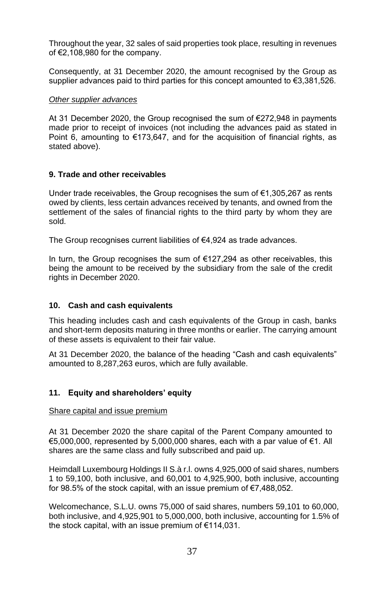Throughout the year, 32 sales of said properties took place, resulting in revenues of €2,108,980 for the company.

Consequently, at 31 December 2020, the amount recognised by the Group as supplier advances paid to third parties for this concept amounted to €3,381,526.

### *Other supplier advances*

At 31 December 2020, the Group recognised the sum of €272,948 in payments made prior to receipt of invoices (not including the advances paid as stated in Point 6, amounting to  $€173,647$ , and for the acquisition of financial rights, as stated above).

# **9. Trade and other receivables**

Under trade receivables, the Group recognises the sum of €1,305,267 as rents owed by clients, less certain advances received by tenants, and owned from the settlement of the sales of financial rights to the third party by whom they are sold.

The Group recognises current liabilities of €4,924 as trade advances.

In turn, the Group recognises the sum of €127,294 as other receivables, this being the amount to be received by the subsidiary from the sale of the credit rights in December 2020.

# **10. Cash and cash equivalents**

This heading includes cash and cash equivalents of the Group in cash, banks and short-term deposits maturing in three months or earlier. The carrying amount of these assets is equivalent to their fair value.

At 31 December 2020, the balance of the heading "Cash and cash equivalents" amounted to 8,287,263 euros, which are fully available.

# **11. Equity and shareholders' equity**

#### Share capital and issue premium

At 31 December 2020 the share capital of the Parent Company amounted to €5,000,000, represented by 5,000,000 shares, each with a par value of €1. All shares are the same class and fully subscribed and paid up.

Heimdall Luxembourg Holdings II S.à r.l. owns 4,925,000 of said shares, numbers 1 to 59,100, both inclusive, and 60,001 to 4,925,900, both inclusive, accounting for 98.5% of the stock capital, with an issue premium of €7,488,052.

Welcomechance, S.L.U. owns 75,000 of said shares, numbers 59,101 to 60,000, both inclusive, and 4,925,901 to 5,000,000, both inclusive, accounting for 1.5% of the stock capital, with an issue premium of €114,031.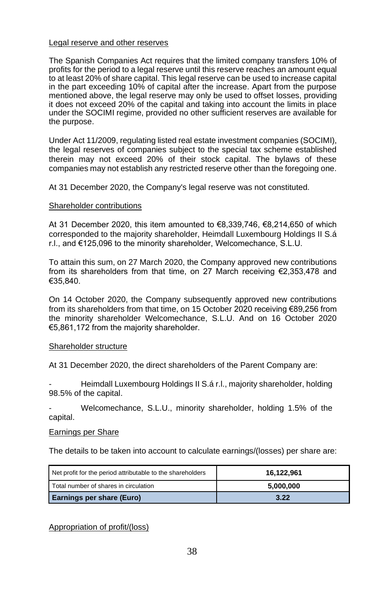### Legal reserve and other reserves

The Spanish Companies Act requires that the limited company transfers 10% of profits for the period to a legal reserve until this reserve reaches an amount equal to at least 20% of share capital. This legal reserve can be used to increase capital in the part exceeding 10% of capital after the increase. Apart from the purpose mentioned above, the legal reserve may only be used to offset losses, providing it does not exceed 20% of the capital and taking into account the limits in place under the SOCIMI regime, provided no other sufficient reserves are available for the purpose.

Under Act 11/2009, regulating listed real estate investment companies (SOCIMI), the legal reserves of companies subject to the special tax scheme established therein may not exceed 20% of their stock capital. The bylaws of these companies may not establish any restricted reserve other than the foregoing one.

At 31 December 2020, the Company's legal reserve was not constituted.

# **Shareholder contributions**

At 31 December 2020, this item amounted to €8,339,746, €8,214,650 of which corresponded to the majority shareholder, Heimdall Luxembourg Holdings II S.á r.l., and €125,096 to the minority shareholder, Welcomechance, S.L.U.

To attain this sum, on 27 March 2020, the Company approved new contributions from its shareholders from that time, on 27 March receiving €2,353,478 and €35,840.

On 14 October 2020, the Company subsequently approved new contributions from its shareholders from that time, on 15 October 2020 receiving €89,256 from the minority shareholder Welcomechance, S.L.U. And on 16 October 2020 €5,861,172 from the majority shareholder.

# Shareholder structure

At 31 December 2020, the direct shareholders of the Parent Company are:

- Heimdall Luxembourg Holdings II S.á r.l., majority shareholder, holding 98.5% of the capital.

Welcomechance, S.L.U., minority shareholder, holding 1.5% of the capital.

# Earnings per Share

The details to be taken into account to calculate earnings/(losses) per share are:

| Net profit for the period attributable to the shareholders | 16,122,961 |
|------------------------------------------------------------|------------|
| Total number of shares in circulation                      | 5.000.000  |
| Earnings per share (Euro)                                  | 3.22       |

Appropriation of profit/(loss)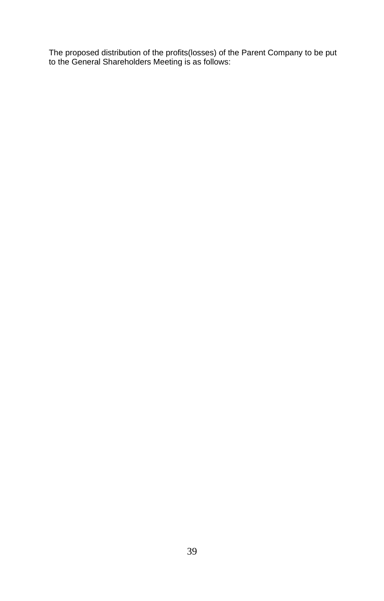The proposed distribution of the profits(losses) of the Parent Company to be put to the General Shareholders Meeting is as follows: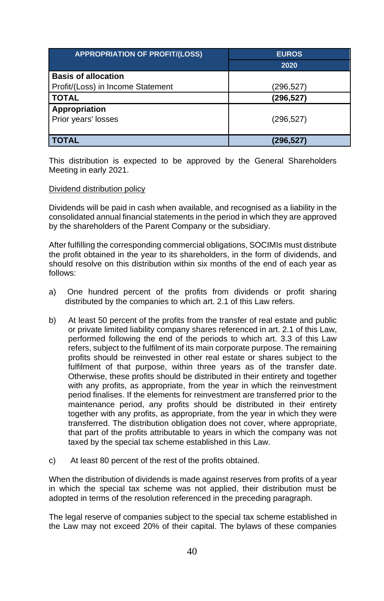| <b>APPROPRIATION OF PROFIT/(LOSS)</b> | <b>EUROS</b> |  |
|---------------------------------------|--------------|--|
|                                       | 2020         |  |
| <b>Basis of allocation</b>            |              |  |
| Profit/(Loss) in Income Statement     | (296, 527)   |  |
| <b>TOTAL</b>                          | (296, 527)   |  |
| Appropriation                         |              |  |
| Prior years' losses                   | (296, 527)   |  |
|                                       |              |  |
| TOTAL                                 | (296,527)    |  |

This distribution is expected to be approved by the General Shareholders Meeting in early 2021.

#### Dividend distribution policy

Dividends will be paid in cash when available, and recognised as a liability in the consolidated annual financial statements in the period in which they are approved by the shareholders of the Parent Company or the subsidiary.

After fulfilling the corresponding commercial obligations, SOCIMIs must distribute the profit obtained in the year to its shareholders, in the form of dividends, and should resolve on this distribution within six months of the end of each year as follows:

- a) One hundred percent of the profits from dividends or profit sharing distributed by the companies to which art. 2.1 of this Law refers.
- b) At least 50 percent of the profits from the transfer of real estate and public or private limited liability company shares referenced in art. 2.1 of this Law, performed following the end of the periods to which art. 3.3 of this Law refers, subject to the fulfilment of its main corporate purpose. The remaining profits should be reinvested in other real estate or shares subject to the fulfilment of that purpose, within three years as of the transfer date. Otherwise, these profits should be distributed in their entirety and together with any profits, as appropriate, from the year in which the reinvestment period finalises. If the elements for reinvestment are transferred prior to the maintenance period, any profits should be distributed in their entirety together with any profits, as appropriate, from the year in which they were transferred. The distribution obligation does not cover, where appropriate, that part of the profits attributable to years in which the company was not taxed by the special tax scheme established in this Law.
- c) At least 80 percent of the rest of the profits obtained.

When the distribution of dividends is made against reserves from profits of a year in which the special tax scheme was not applied, their distribution must be adopted in terms of the resolution referenced in the preceding paragraph.

The legal reserve of companies subject to the special tax scheme established in the Law may not exceed 20% of their capital. The bylaws of these companies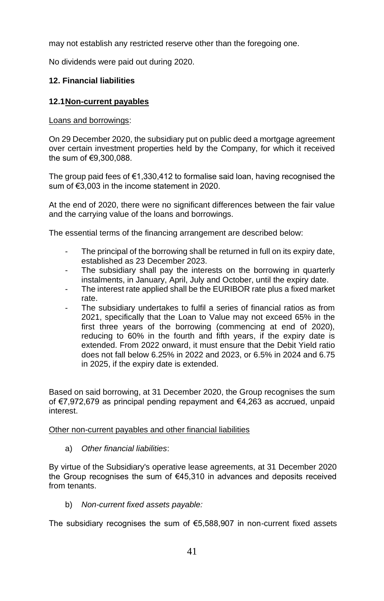may not establish any restricted reserve other than the foregoing one.

No dividends were paid out during 2020.

# **12. Financial liabilities**

# **12.1Non-current payables**

Loans and borrowings:

On 29 December 2020, the subsidiary put on public deed a mortgage agreement over certain investment properties held by the Company, for which it received the sum of €9,300,088.

The group paid fees of €1,330,412 to formalise said loan, having recognised the sum of €3,003 in the income statement in 2020.

At the end of 2020, there were no significant differences between the fair value and the carrying value of the loans and borrowings.

The essential terms of the financing arrangement are described below:

- The principal of the borrowing shall be returned in full on its expiry date, established as 23 December 2023.
- The subsidiary shall pay the interests on the borrowing in quarterly instalments, in January, April, July and October, until the expiry date.
- The interest rate applied shall be the EURIBOR rate plus a fixed market rate.
- The subsidiary undertakes to fulfil a series of financial ratios as from 2021, specifically that the Loan to Value may not exceed 65% in the first three years of the borrowing (commencing at end of 2020), reducing to 60% in the fourth and fifth years, if the expiry date is extended. From 2022 onward, it must ensure that the Debit Yield ratio does not fall below 6.25% in 2022 and 2023, or 6.5% in 2024 and 6.75 in 2025, if the expiry date is extended.

Based on said borrowing, at 31 December 2020, the Group recognises the sum of €7,972,679 as principal pending repayment and €4,263 as accrued, unpaid interest.

Other non-current payables and other financial liabilities

a) *Other financial liabilities*:

By virtue of the Subsidiary's operative lease agreements, at 31 December 2020 the Group recognises the sum of €45,310 in advances and deposits received from tenants.

b) *Non-current fixed assets payable:*

The subsidiary recognises the sum of €5,588,907 in non-current fixed assets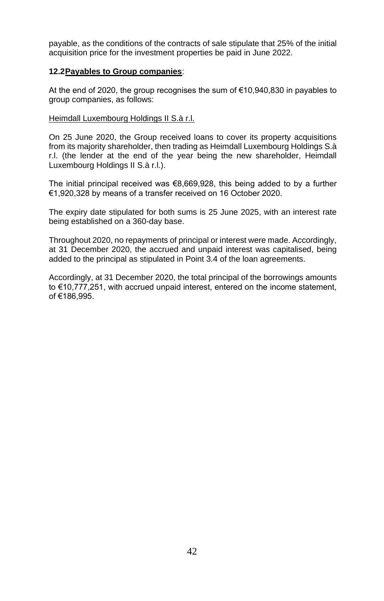payable, as the conditions of the contracts of sale stipulate that 25% of the initial acquisition price for the investment properties be paid in June 2022.

# **12.2Payables to Group companies**:

At the end of 2020, the group recognises the sum of €10,940,830 in payables to group companies, as follows:

### Heimdall Luxembourg Holdings II S.à r.l.

On 25 June 2020, the Group received loans to cover its property acquisitions from its majority shareholder, then trading as Heimdall Luxembourg Holdings S.à r.l. (the lender at the end of the year being the new shareholder, Heimdall Luxembourg Holdings II S.à r.l.).

The initial principal received was €8,669,928, this being added to by a further €1,920,328 by means of a transfer received on 16 October 2020.

The expiry date stipulated for both sums is 25 June 2025, with an interest rate being established on a 360-day base.

Throughout 2020, no repayments of principal or interest were made. Accordingly, at 31 December 2020, the accrued and unpaid interest was capitalised, being added to the principal as stipulated in Point 3.4 of the loan agreements.

Accordingly, at 31 December 2020, the total principal of the borrowings amounts to €10,777,251, with accrued unpaid interest, entered on the income statement, of €186,995.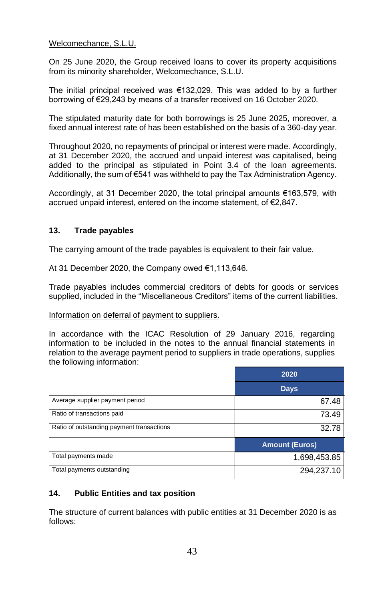# Welcomechance, S.L.U.

On 25 June 2020, the Group received loans to cover its property acquisitions from its minority shareholder, Welcomechance, S.L.U.

The initial principal received was €132,029. This was added to by a further borrowing of €29,243 by means of a transfer received on 16 October 2020.

The stipulated maturity date for both borrowings is 25 June 2025, moreover, a fixed annual interest rate of has been established on the basis of a 360-day year.

Throughout 2020, no repayments of principal or interest were made. Accordingly, at 31 December 2020, the accrued and unpaid interest was capitalised, being added to the principal as stipulated in Point 3.4 of the loan agreements. Additionally, the sum of €541 was withheld to pay the Tax Administration Agency.

Accordingly, at 31 December 2020, the total principal amounts €163,579, with accrued unpaid interest, entered on the income statement, of €2,847.

# **13. Trade payables**

The carrying amount of the trade payables is equivalent to their fair value.

At 31 December 2020, the Company owed €1,113,646.

Trade payables includes commercial creditors of debts for goods or services supplied, included in the "Miscellaneous Creditors" items of the current liabilities.

#### Information on deferral of payment to suppliers.

In accordance with the ICAC Resolution of 29 January 2016, regarding information to be included in the notes to the annual financial statements in relation to the average payment period to suppliers in trade operations, supplies the following information:

|                                           | 2020                  |
|-------------------------------------------|-----------------------|
|                                           | <b>Days</b>           |
| Average supplier payment period           | 67.48                 |
| Ratio of transactions paid                | 73.49                 |
| Ratio of outstanding payment transactions | 32.78                 |
|                                           | <b>Amount (Euros)</b> |
| Total payments made                       | 1,698,453.85          |
| Total payments outstanding                | 294,237.10            |

# **14. Public Entities and tax position**

The structure of current balances with public entities at 31 December 2020 is as follows: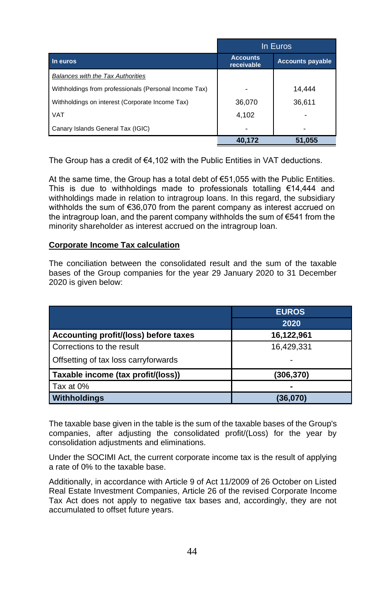|                                                       |                               | In Euros                |
|-------------------------------------------------------|-------------------------------|-------------------------|
| In euros                                              | <b>Accounts</b><br>receivable | <b>Accounts payable</b> |
| <b>Balances with the Tax Authorities</b>              |                               |                         |
| Withholdings from professionals (Personal Income Tax) |                               | 14,444                  |
| Withholdings on interest (Corporate Income Tax)       | 36,070                        | 36,611                  |
| <b>VAT</b>                                            | 4,102                         |                         |
| Canary Islands General Tax (IGIC)                     |                               |                         |
|                                                       | 40.172                        | 51.055                  |

The Group has a credit of €4,102 with the Public Entities in VAT deductions.

At the same time, the Group has a total debt of €51,055 with the Public Entities. This is due to withholdings made to professionals totalling €14,444 and withholdings made in relation to intragroup loans. In this regard, the subsidiary withholds the sum of €36,070 from the parent company as interest accrued on the intragroup loan, and the parent company withholds the sum of €541 from the minority shareholder as interest accrued on the intragroup loan.

# **Corporate Income Tax calculation**

The conciliation between the consolidated result and the sum of the taxable bases of the Group companies for the year 29 January 2020 to 31 December 2020 is given below:

|                                       | <b>EUROS</b> |
|---------------------------------------|--------------|
|                                       | 2020         |
| Accounting profit/(loss) before taxes | 16,122,961   |
| Corrections to the result             | 16.429.331   |
| Offsetting of tax loss carryforwards  |              |
| Taxable income (tax profit/(loss))    | (306, 370)   |
| Tax at 0%                             |              |
| Withholdings                          | (36,070)     |

The taxable base given in the table is the sum of the taxable bases of the Group's companies, after adjusting the consolidated profit/(Loss) for the year by consolidation adjustments and eliminations.

Under the SOCIMI Act, the current corporate income tax is the result of applying a rate of 0% to the taxable base.

Additionally, in accordance with Article 9 of Act 11/2009 of 26 October on Listed Real Estate Investment Companies, Article 26 of the revised Corporate Income Tax Act does not apply to negative tax bases and, accordingly, they are not accumulated to offset future years.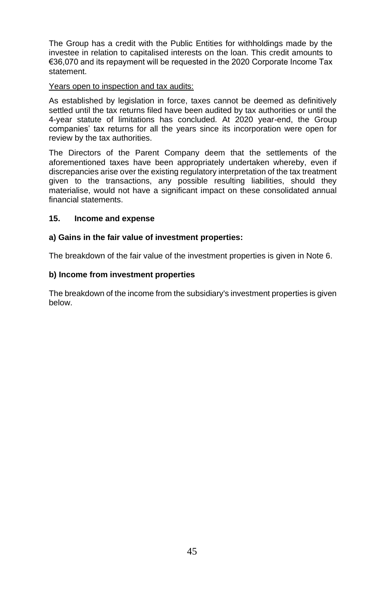The Group has a credit with the Public Entities for withholdings made by the investee in relation to capitalised interests on the loan. This credit amounts to €36,070 and its repayment will be requested in the 2020 Corporate Income Tax statement.

# Years open to inspection and tax audits:

As established by legislation in force, taxes cannot be deemed as definitively settled until the tax returns filed have been audited by tax authorities or until the 4-year statute of limitations has concluded. At 2020 year-end, the Group companies' tax returns for all the years since its incorporation were open for review by the tax authorities.

The Directors of the Parent Company deem that the settlements of the aforementioned taxes have been appropriately undertaken whereby, even if discrepancies arise over the existing regulatory interpretation of the tax treatment given to the transactions, any possible resulting liabilities, should they materialise, would not have a significant impact on these consolidated annual financial statements.

# **15. Income and expense**

# **a) Gains in the fair value of investment properties:**

The breakdown of the fair value of the investment properties is given in Note 6.

# **b) Income from investment properties**

The breakdown of the income from the subsidiary's investment properties is given below.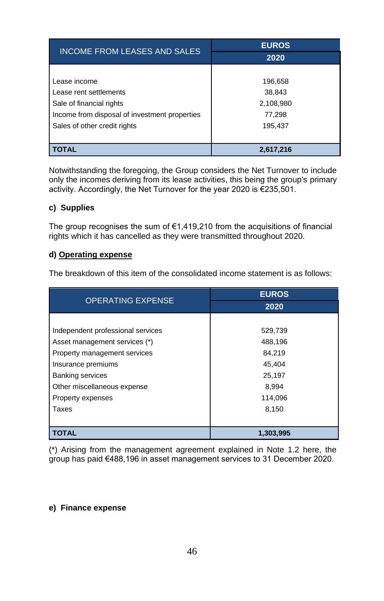| INCOME FROM LEASES AND SALES                  | <b>EUROS</b> |  |
|-----------------------------------------------|--------------|--|
|                                               | 2020         |  |
|                                               |              |  |
| Lease income                                  | 196,658      |  |
| Lease rent settlements                        | 38,843       |  |
| Sale of financial rights                      | 2,108,980    |  |
| Income from disposal of investment properties | 77,298       |  |
| Sales of other credit rights                  | 195,437      |  |
|                                               |              |  |
| TOTAL                                         | 2,617,216    |  |

Notwithstanding the foregoing, the Group considers the Net Turnover to include only the incomes deriving from its lease activities, this being the group's primary activity. Accordingly, the Net Turnover for the year 2020 is €235,501.

# **c) Supplies**

The group recognises the sum of  $E1,419,210$  from the acquisitions of financial rights which it has cancelled as they were transmitted throughout 2020.

# **d) Operating expense**

The breakdown of this item of the consolidated income statement is as follows:

| <b>OPERATING EXPENSE</b>          | <b>EUROS</b> |  |
|-----------------------------------|--------------|--|
|                                   | 2020         |  |
|                                   |              |  |
| Independent professional services | 529,739      |  |
| Asset management services (*)     | 488,196      |  |
| Property management services      | 84,219       |  |
| Insurance premiums                | 45.404       |  |
| <b>Banking services</b>           | 25,197       |  |
| Other miscellaneous expense       | 8,994        |  |
| Property expenses                 | 114,096      |  |
| Taxes                             | 8,150        |  |
|                                   |              |  |
| <b>TOTAL</b>                      | 1,303,995    |  |

(\*) Arising from the management agreement explained in Note 1.2 here, the group has paid €488,196 in asset management services to 31 December 2020.

# **e) Finance expense**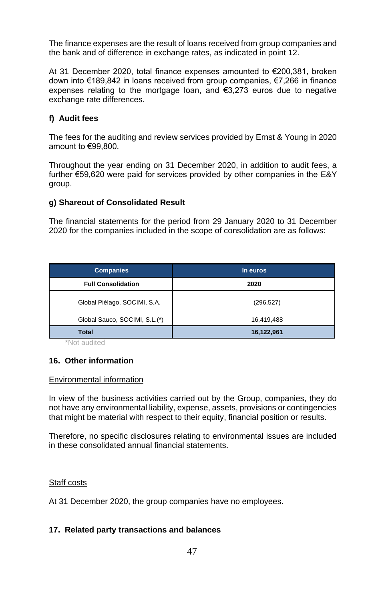The finance expenses are the result of loans received from group companies and the bank and of difference in exchange rates, as indicated in point 12.

At 31 December 2020, total finance expenses amounted to €200,381, broken down into €189,842 in loans received from group companies, €7,266 in finance expenses relating to the mortgage loan, and €3,273 euros due to negative exchange rate differences.

# **f) Audit fees**

The fees for the auditing and review services provided by Ernst & Young in 2020 amount to €99,800.

Throughout the year ending on 31 December 2020, in addition to audit fees, a further €59,620 were paid for services provided by other companies in the E&Y group.

# **g) Shareout of Consolidated Result**

The financial statements for the period from 29 January 2020 to 31 December 2020 for the companies included in the scope of consolidation are as follows:

| <b>Companies</b>              | In euros   |
|-------------------------------|------------|
| <b>Full Consolidation</b>     | 2020       |
| Global Piélago, SOCIMI, S.A.  | (296, 527) |
| Global Sauco, SOCIMI, S.L.(*) | 16,419,488 |
| <b>Total</b>                  | 16,122,961 |

\*Not audited

# **16. Other information**

# Environmental information

In view of the business activities carried out by the Group, companies, they do not have any environmental liability, expense, assets, provisions or contingencies that might be material with respect to their equity, financial position or results.

Therefore, no specific disclosures relating to environmental issues are included in these consolidated annual financial statements.

# Staff costs

At 31 December 2020, the group companies have no employees.

# **17. Related party transactions and balances**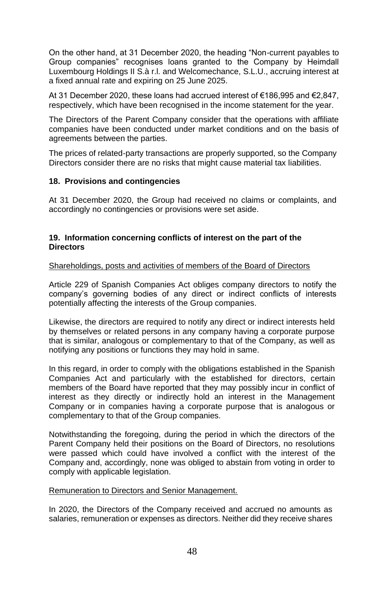On the other hand, at 31 December 2020, the heading "Non-current payables to Group companies" recognises loans granted to the Company by Heimdall Luxembourg Holdings II S.à r.l. and Welcomechance, S.L.U., accruing interest at a fixed annual rate and expiring on 25 June 2025.

At 31 December 2020, these loans had accrued interest of €186,995 and €2,847, respectively, which have been recognised in the income statement for the year.

The Directors of the Parent Company consider that the operations with affiliate companies have been conducted under market conditions and on the basis of agreements between the parties.

The prices of related-party transactions are properly supported, so the Company Directors consider there are no risks that might cause material tax liabilities.

# **18. Provisions and contingencies**

At 31 December 2020, the Group had received no claims or complaints, and accordingly no contingencies or provisions were set aside.

# **19. Information concerning conflicts of interest on the part of the Directors**

### Shareholdings, posts and activities of members of the Board of Directors

Article 229 of Spanish Companies Act obliges company directors to notify the company's governing bodies of any direct or indirect conflicts of interests potentially affecting the interests of the Group companies.

Likewise, the directors are required to notify any direct or indirect interests held by themselves or related persons in any company having a corporate purpose that is similar, analogous or complementary to that of the Company, as well as notifying any positions or functions they may hold in same.

In this regard, in order to comply with the obligations established in the Spanish Companies Act and particularly with the established for directors, certain members of the Board have reported that they may possibly incur in conflict of interest as they directly or indirectly hold an interest in the Management Company or in companies having a corporate purpose that is analogous or complementary to that of the Group companies.

Notwithstanding the foregoing, during the period in which the directors of the Parent Company held their positions on the Board of Directors, no resolutions were passed which could have involved a conflict with the interest of the Company and, accordingly, none was obliged to abstain from voting in order to comply with applicable legislation.

#### Remuneration to Directors and Senior Management.

In 2020, the Directors of the Company received and accrued no amounts as salaries, remuneration or expenses as directors. Neither did they receive shares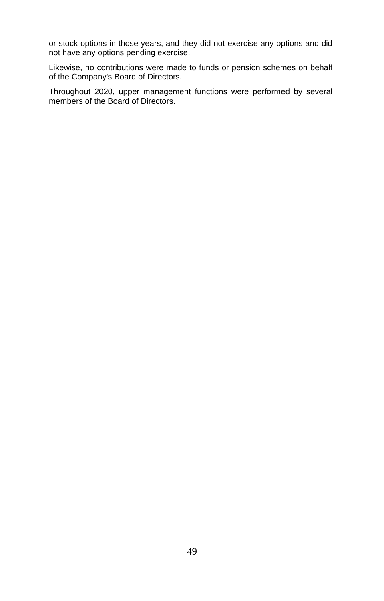or stock options in those years, and they did not exercise any options and did not have any options pending exercise.

Likewise, no contributions were made to funds or pension schemes on behalf of the Company's Board of Directors.

Throughout 2020, upper management functions were performed by several members of the Board of Directors.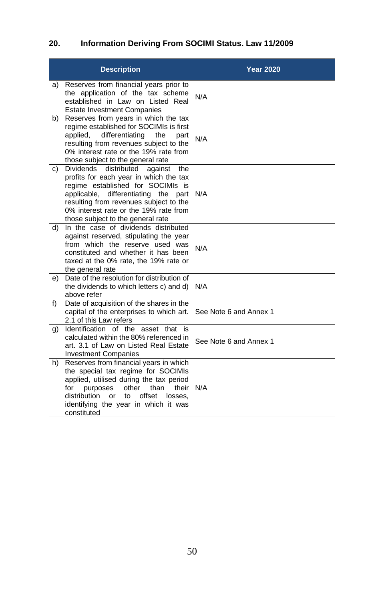# **20. Information Deriving From SOCIMI Status. Law 11/2009**

|    | <b>Description</b>                                                                                                                                                                                                                                                                        | <b>Year 2020</b>       |
|----|-------------------------------------------------------------------------------------------------------------------------------------------------------------------------------------------------------------------------------------------------------------------------------------------|------------------------|
| a) | Reserves from financial years prior to<br>the application of the tax scheme<br>established in Law on Listed Real<br><b>Estate Investment Companies</b>                                                                                                                                    | N/A                    |
| b) | Reserves from years in which the tax<br>regime established for SOCIMIs is first<br>applied,<br>differentiating<br>the<br>part<br>resulting from revenues subject to the<br>0% interest rate or the 19% rate from<br>those subject to the general rate                                     | N/A                    |
| C) | Dividends distributed<br>the<br>against<br>profits for each year in which the tax<br>regime established for SOCIMIs is<br>applicable, differentiating the<br>part<br>resulting from revenues subject to the<br>0% interest rate or the 19% rate from<br>those subject to the general rate | N/A                    |
| d) | In the case of dividends distributed<br>against reserved, stipulating the year<br>from which the reserve used was<br>constituted and whether it has been<br>taxed at the 0% rate, the 19% rate or<br>the general rate                                                                     | N/A                    |
| e) | Date of the resolution for distribution of<br>the dividends to which letters c) and d)<br>above refer                                                                                                                                                                                     | N/A                    |
| f) | Date of acquisition of the shares in the<br>capital of the enterprises to which art.<br>2.1 of this Law refers                                                                                                                                                                            | See Note 6 and Annex 1 |
| q) | Identification of the asset that is<br>calculated within the 80% referenced in<br>art. 3.1 of Law on Listed Real Estate<br><b>Investment Companies</b>                                                                                                                                    | See Note 6 and Annex 1 |
| h) | Reserves from financial years in which<br>the special tax regime for SOCIMIs<br>applied, utilised during the tax period<br>their<br>for<br>purposes<br>other<br>than<br>offset<br>distribution<br>or<br>to<br>losses.<br>identifying the year in which it was<br>constituted              | N/A                    |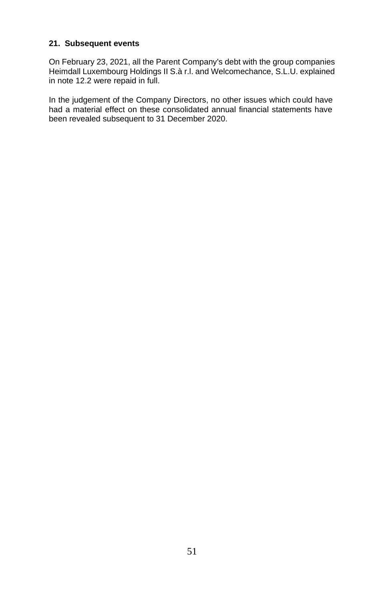# **21. Subsequent events**

On February 23, 2021, all the Parent Company's debt with the group companies Heimdall Luxembourg Holdings II S.à r.l. and Welcomechance, S.L.U. explained in note 12.2 were repaid in full.

In the judgement of the Company Directors, no other issues which could have had a material effect on these consolidated annual financial statements have been revealed subsequent to 31 December 2020.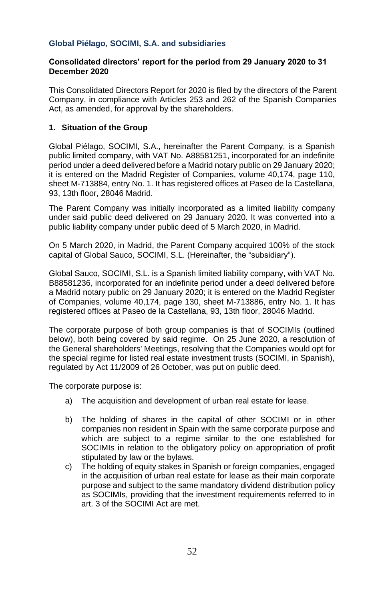# **Global Piélago, SOCIMI, S.A. and subsidiaries**

# **Consolidated directors' report for the period from 29 January 2020 to 31 December 2020**

This Consolidated Directors Report for 2020 is filed by the directors of the Parent Company, in compliance with Articles 253 and 262 of the Spanish Companies Act, as amended, for approval by the shareholders.

# **1. Situation of the Group**

Global Piélago, SOCIMI, S.A., hereinafter the Parent Company, is a Spanish public limited company, with VAT No. A88581251, incorporated for an indefinite period under a deed delivered before a Madrid notary public on 29 January 2020; it is entered on the Madrid Register of Companies, volume 40,174, page 110, sheet M-713884, entry No. 1. It has registered offices at Paseo de la Castellana, 93, 13th floor, 28046 Madrid.

The Parent Company was initially incorporated as a limited liability company under said public deed delivered on 29 January 2020. It was converted into a public liability company under public deed of 5 March 2020, in Madrid.

On 5 March 2020, in Madrid, the Parent Company acquired 100% of the stock capital of Global Sauco, SOCIMI, S.L. (Hereinafter, the "subsidiary").

Global Sauco, SOCIMI, S.L. is a Spanish limited liability company, with VAT No. B88581236, incorporated for an indefinite period under a deed delivered before a Madrid notary public on 29 January 2020; it is entered on the Madrid Register of Companies, volume 40,174, page 130, sheet M-713886, entry No. 1. It has registered offices at Paseo de la Castellana, 93, 13th floor, 28046 Madrid.

The corporate purpose of both group companies is that of SOCIMIs (outlined below), both being covered by said regime. On 25 June 2020, a resolution of the General shareholders' Meetings, resolving that the Companies would opt for the special regime for listed real estate investment trusts (SOCIMI, in Spanish), regulated by Act 11/2009 of 26 October, was put on public deed.

The corporate purpose is:

- a) The acquisition and development of urban real estate for lease.
- b) The holding of shares in the capital of other SOCIMI or in other companies non resident in Spain with the same corporate purpose and which are subject to a regime similar to the one established for SOCIMIs in relation to the obligatory policy on appropriation of profit stipulated by law or the bylaws.
- c) The holding of equity stakes in Spanish or foreign companies, engaged in the acquisition of urban real estate for lease as their main corporate purpose and subject to the same mandatory dividend distribution policy as SOCIMIs, providing that the investment requirements referred to in art. 3 of the SOCIMI Act are met.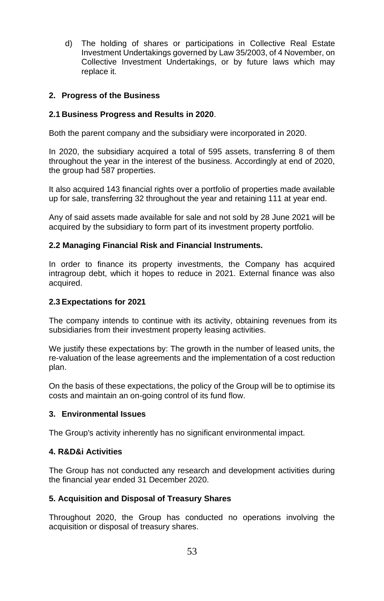d) The holding of shares or participations in Collective Real Estate Investment Undertakings governed by Law 35/2003, of 4 November, on Collective Investment Undertakings, or by future laws which may replace it.

# **2. Progress of the Business**

# **2.1 Business Progress and Results in 2020**.

Both the parent company and the subsidiary were incorporated in 2020.

In 2020, the subsidiary acquired a total of 595 assets, transferring 8 of them throughout the year in the interest of the business. Accordingly at end of 2020, the group had 587 properties.

It also acquired 143 financial rights over a portfolio of properties made available up for sale, transferring 32 throughout the year and retaining 111 at year end.

Any of said assets made available for sale and not sold by 28 June 2021 will be acquired by the subsidiary to form part of its investment property portfolio.

### **2.2 Managing Financial Risk and Financial Instruments.**

In order to finance its property investments, the Company has acquired intragroup debt, which it hopes to reduce in 2021. External finance was also acquired.

### **2.3 Expectations for 2021**

The company intends to continue with its activity, obtaining revenues from its subsidiaries from their investment property leasing activities.

We justify these expectations by: The growth in the number of leased units, the re-valuation of the lease agreements and the implementation of a cost reduction plan.

On the basis of these expectations, the policy of the Group will be to optimise its costs and maintain an on-going control of its fund flow.

# **3. Environmental Issues**

The Group's activity inherently has no significant environmental impact.

# **4. R&D&i Activities**

The Group has not conducted any research and development activities during the financial year ended 31 December 2020.

# **5. Acquisition and Disposal of Treasury Shares**

Throughout 2020, the Group has conducted no operations involving the acquisition or disposal of treasury shares.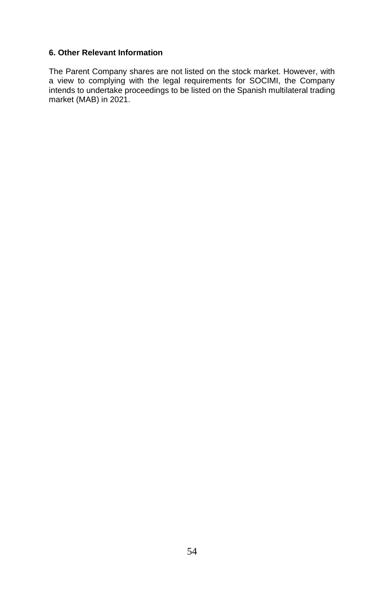# **6. Other Relevant Information**

The Parent Company shares are not listed on the stock market. However, with a view to complying with the legal requirements for SOCIMI, the Company intends to undertake proceedings to be listed on the Spanish multilateral trading market (MAB) in 2021.